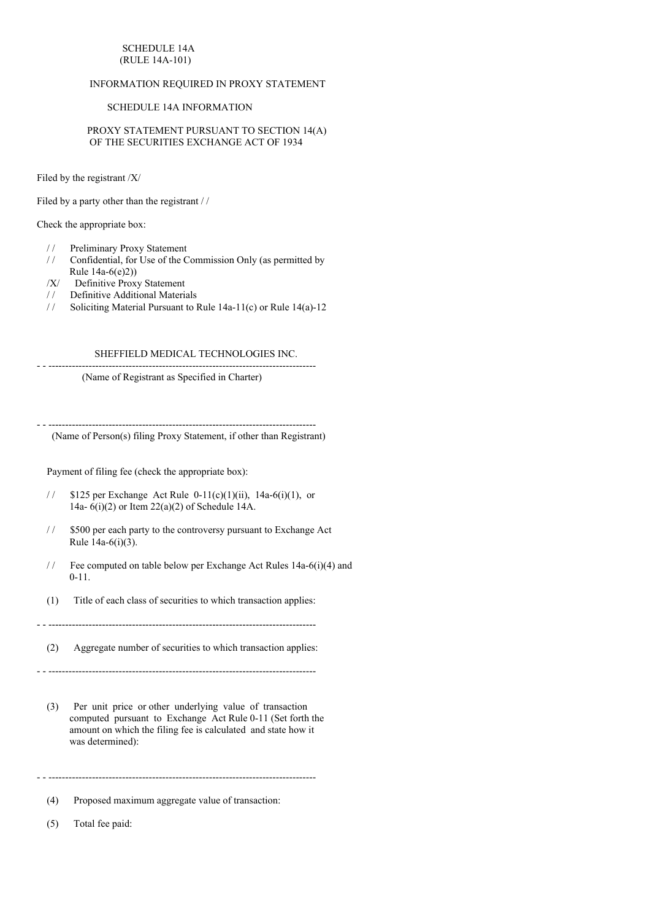## SCHEDULE 14A (RULE 14A-101)

# INFORMATION REQUIRED IN PROXY STATEMENT

## SCHEDULE 14A INFORMATION

PROXY STATEMENT PURSUANT TO SECTION 14(A) OF THE SECURITIES EXCHANGE ACT OF 1934

Filed by the registrant /X/

Filed by a party other than the registrant / /

Check the appropriate box:

- / / Preliminary Proxy Statement
- / / Confidential, for Use of the Commission Only (as permitted by Rule 14a-6(e)2))
- /X/ Definitive Proxy Statement
- / / Definitive Additional Materials
- / / Soliciting Material Pursuant to Rule 14a-11(c) or Rule 14(a)-12

# SHEFFIELD MEDICAL TECHNOLOGIES INC.

- - -------------------------------------------------------------------------------- (Name of Registrant as Specified in Charter)

(Name of Person(s) filing Proxy Statement, if other than Registrant)

- - --------------------------------------------------------------------------------

Payment of filing fee (check the appropriate box):

- //  $$125$  per Exchange Act Rule 0-11(c)(1)(ii), 14a-6(i)(1), or 14a- 6(i)(2) or Item 22(a)(2) of Schedule 14A.
- / / \$500 per each party to the controversy pursuant to Exchange Act Rule 14a-6(i)(3).
- / / Fee computed on table below per Exchange Act Rules 14a-6(i)(4) and 0-11.
- (1) Title of each class of securities to which transaction applies:

- - --------------------------------------------------------------------------------

(2) Aggregate number of securities to which transaction applies:

- - --------------------------------------------------------------------------------

(3) Per unit price or other underlying value of transaction computed pursuant to Exchange Act Rule 0-11 (Set forth the amount on which the filing fee is calculated and state how it was determined):

- - --------------------------------------------------------------------------------

(4) Proposed maximum aggregate value of transaction:

(5) Total fee paid: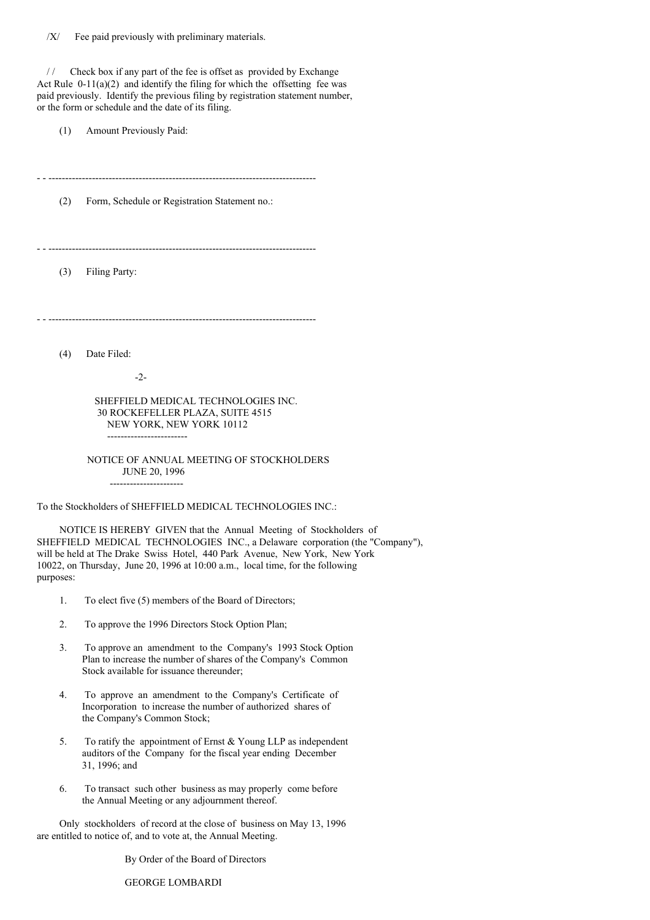/ / Check box if any part of the fee is offset as provided by Exchange Act Rule 0-11(a)(2) and identify the filing for which the offsetting fee was paid previously. Identify the previous filing by registration statement number, or the form or schedule and the date of its filing.

(1) Amount Previously Paid:

- - --------------------------------------------------------------------------------

(2) Form, Schedule or Registration Statement no.:

- - --------------------------------------------------------------------------------

(3) Filing Party:

- - --------------------------------------------------------------------------------

(4) Date Filed:

-2-

------------------------

SHEFFIELD MEDICAL TECHNOLOGIES INC. 30 ROCKEFELLER PLAZA, SUITE 4515 NEW YORK, NEW YORK 10112

NOTICE OF ANNUAL MEETING OF STOCKHOLDERS JUNE 20, 1996 ----------------------

To the Stockholders of SHEFFIELD MEDICAL TECHNOLOGIES INC.:

NOTICE IS HEREBY GIVEN that the Annual Meeting of Stockholders of SHEFFIELD MEDICAL TECHNOLOGIES INC., a Delaware corporation (the "Company"), will be held at The Drake Swiss Hotel, 440 Park Avenue, New York, New York 10022, on Thursday, June 20, 1996 at 10:00 a.m., local time, for the following purposes:

- 1. To elect five (5) members of the Board of Directors;
- 2. To approve the 1996 Directors Stock Option Plan;
- 3. To approve an amendment to the Company's 1993 Stock Option Plan to increase the number of shares of the Company's Common Stock available for issuance thereunder;
- 4. To approve an amendment to the Company's Certificate of Incorporation to increase the number of authorized shares of the Company's Common Stock;
- 5. To ratify the appointment of Ernst & Young LLP as independent auditors of the Company for the fiscal year ending December 31, 1996; and
- 6. To transact such other business as may properly come before the Annual Meeting or any adjournment thereof.

Only stockholders of record at the close of business on May 13, 1996 are entitled to notice of, and to vote at, the Annual Meeting.

By Order of the Board of Directors

GEORGE LOMBARDI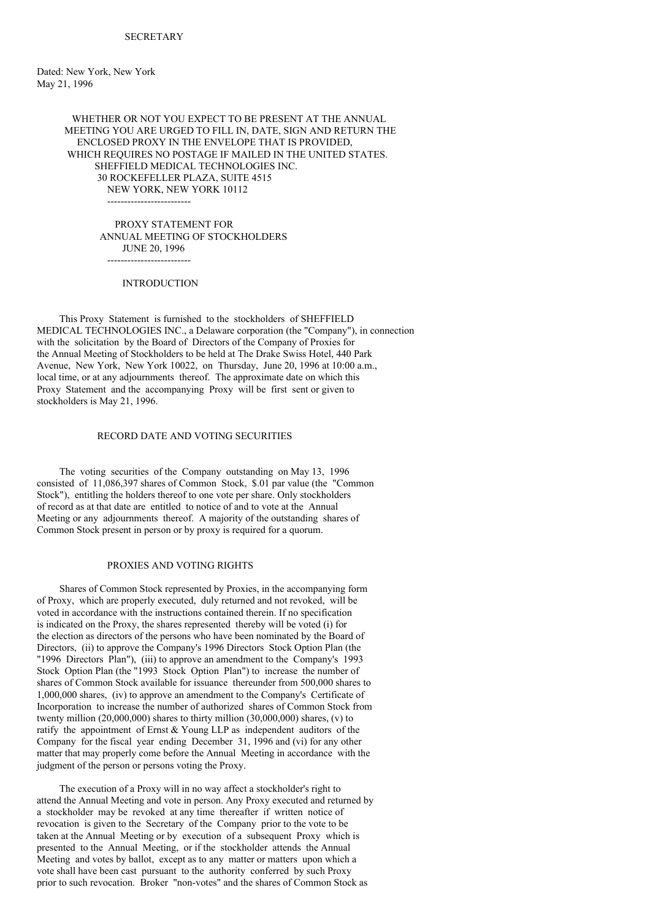Dated: New York, New York May 21, 1996

> WHETHER OR NOT YOU EXPECT TO BE PRESENT AT THE ANNUAL MEETING YOU ARE URGED TO FILL IN, DATE, SIGN AND RETURN THE ENCLOSED PROXY IN THE ENVELOPE THAT IS PROVIDED, WHICH REQUIRES NO POSTAGE IF MAILED IN THE UNITED STATES. SHEFFIELD MEDICAL TECHNOLOGIES INC. 30 ROCKEFELLER PLAZA, SUITE 4515 NEW YORK, NEW YORK 10112

 $-$ 

PROXY STATEMENT FOR ANNUAL MEETING OF STOCKHOLDERS JUNE 20, 1996 -------------------------

**INTRODUCTION** 

This Proxy Statement is furnished to the stockholders of SHEFFIELD MEDICAL TECHNOLOGIES INC., a Delaware corporation (the "Company"), in connection with the solicitation by the Board of Directors of the Company of Proxies for the Annual Meeting of Stockholders to be held at The Drake Swiss Hotel, 440 Park Avenue, New York, New York 10022, on Thursday, June 20, 1996 at 10:00 a.m., local time, or at any adjournments thereof. The approximate date on which this Proxy Statement and the accompanying Proxy will be first sent or given to stockholders is May 21, 1996.

## RECORD DATE AND VOTING SECURITIES

The voting securities of the Company outstanding on May 13, 1996 consisted of 11,086,397 shares of Common Stock, \$.01 par value (the "Common Stock"), entitling the holders thereof to one vote per share. Only stockholders of record as at that date are entitled to notice of and to vote at the Annual Meeting or any adjournments thereof. A majority of the outstanding shares of Common Stock present in person or by proxy is required for a quorum.

## PROXIES AND VOTING RIGHTS

Shares of Common Stock represented by Proxies, in the accompanying form of Proxy, which are properly executed, duly returned and not revoked, will be voted in accordance with the instructions contained therein. If no specification is indicated on the Proxy, the shares represented thereby will be voted (i) for the election as directors of the persons who have been nominated by the Board of Directors, (ii) to approve the Company's 1996 Directors Stock Option Plan (the "1996 Directors Plan"), (iii) to approve an amendment to the Company's 1993 Stock Option Plan (the "1993 Stock Option Plan") to increase the number of shares of Common Stock available for issuance thereunder from 500,000 shares to 1,000,000 shares, (iv) to approve an amendment to the Company's Certificate of Incorporation to increase the number of authorized shares of Common Stock from twenty million  $(20,000,000)$  shares to thirty million  $(30,000,000)$  shares,  $(v)$  to ratify the appointment of Ernst & Young LLP as independent auditors of the Company for the fiscal year ending December 31, 1996 and (vi) for any other matter that may properly come before the Annual Meeting in accordance with the judgment of the person or persons voting the Proxy.

The execution of a Proxy will in no way affect a stockholder's right to attend the Annual Meeting and vote in person. Any Proxy executed and returned by a stockholder may be revoked at any time thereafter if written notice of revocation is given to the Secretary of the Company prior to the vote to be taken at the Annual Meeting or by execution of a subsequent Proxy which is presented to the Annual Meeting, or if the stockholder attends the Annual Meeting and votes by ballot, except as to any matter or matters upon which a vote shall have been cast pursuant to the authority conferred by such Proxy prior to such revocation. Broker "non-votes" and the shares of Common Stock as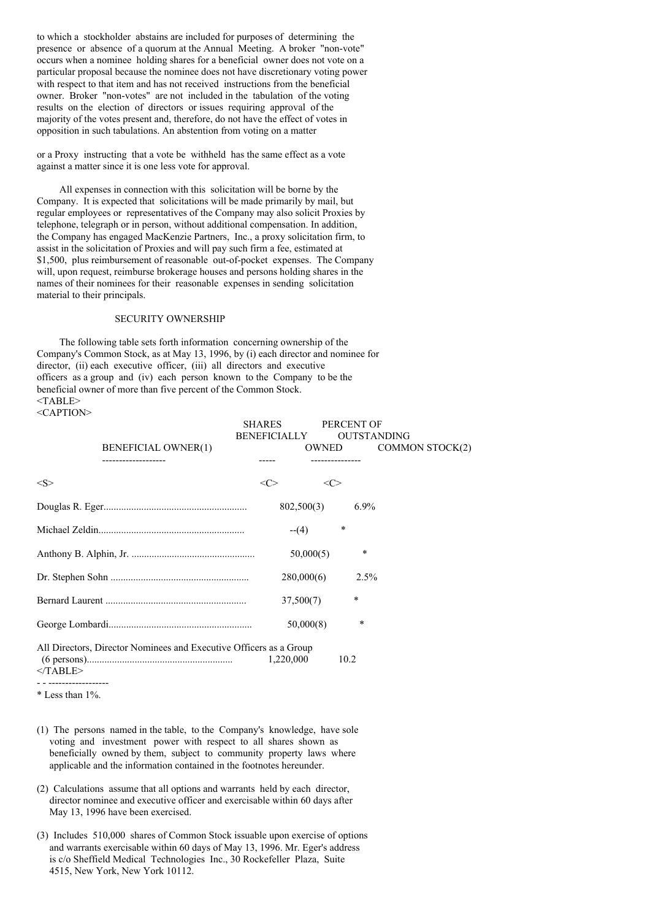to which a stockholder abstains are included for purposes of determining the presence or absence of a quorum at the Annual Meeting. A broker "non-vote" occurs when a nominee holding shares for a beneficial owner does not vote on a particular proposal because the nominee does not have discretionary voting power with respect to that item and has not received instructions from the beneficial owner. Broker "non-votes" are not included in the tabulation of the voting results on the election of directors or issues requiring approval of the majority of the votes present and, therefore, do not have the effect of votes in opposition in such tabulations. An abstention from voting on a matter

or a Proxy instructing that a vote be withheld has the same effect as a vote against a matter since it is one less vote for approval.

All expenses in connection with this solicitation will be borne by the Company. It is expected that solicitations will be made primarily by mail, but regular employees or representatives of the Company may also solicit Proxies by telephone, telegraph or in person, without additional compensation. In addition, the Company has engaged MacKenzie Partners, Inc., a proxy solicitation firm, to assist in the solicitation of Proxies and will pay such firm a fee, estimated at \$1,500, plus reimbursement of reasonable out-of-pocket expenses. The Company will, upon request, reimburse brokerage houses and persons holding shares in the names of their nominees for their reasonable expenses in sending solicitation material to their principals.

## SECURITY OWNERSHIP

The following table sets forth information concerning ownership of the Company's Common Stock, as at May 13, 1996, by (i) each director and nominee for director, (ii) each executive officer, (iii) all directors and executive officers as a group and (iv) each person known to the Company to be the beneficial owner of more than five percent of the Common Stock. <TABLE>

<CAPTION>

|            |                                                                    | <b>SHARES</b><br><b>BENEFICIALLY</b> |            |                     | PERCENT OF<br><b>OUTSTANDING</b> |                 |
|------------|--------------------------------------------------------------------|--------------------------------------|------------|---------------------|----------------------------------|-----------------|
|            | <b>BENEFICIAL OWNER(1)</b>                                         |                                      |            | OWNED               |                                  | COMMON STOCK(2) |
|            |                                                                    |                                      |            |                     |                                  |                 |
| <s></s>    |                                                                    | <c></c>                              |            | $\langle C \rangle$ |                                  |                 |
|            |                                                                    |                                      | 802,500(3) |                     | $6.9\%$                          |                 |
|            |                                                                    |                                      | $-(-4)$    | $\ast$              |                                  |                 |
|            |                                                                    |                                      | 50,000(5)  |                     | $\ast$                           |                 |
|            |                                                                    |                                      | 280,000(6) |                     | $2.5\%$                          |                 |
|            |                                                                    |                                      | 37,500(7)  |                     | $\star$                          |                 |
|            |                                                                    |                                      | 50,000(8)  |                     | $\ast$                           |                 |
| $<$ TABLE> | All Directors, Director Nominees and Executive Officers as a Group |                                      | 1,220,000  | 10.2                |                                  |                 |
|            |                                                                    |                                      |            |                     |                                  |                 |

\* Less than 1%.

- (1) The persons named in the table, to the Company's knowledge, have sole voting and investment power with respect to all shares shown as beneficially owned by them, subject to community property laws where applicable and the information contained in the footnotes hereunder.
- (2) Calculations assume that all options and warrants held by each director, director nominee and executive officer and exercisable within 60 days after May 13, 1996 have been exercised.
- (3) Includes 510,000 shares of Common Stock issuable upon exercise of options and warrants exercisable within 60 days of May 13, 1996. Mr. Eger's address is c/o Sheffield Medical Technologies Inc., 30 Rockefeller Plaza, Suite 4515, New York, New York 10112.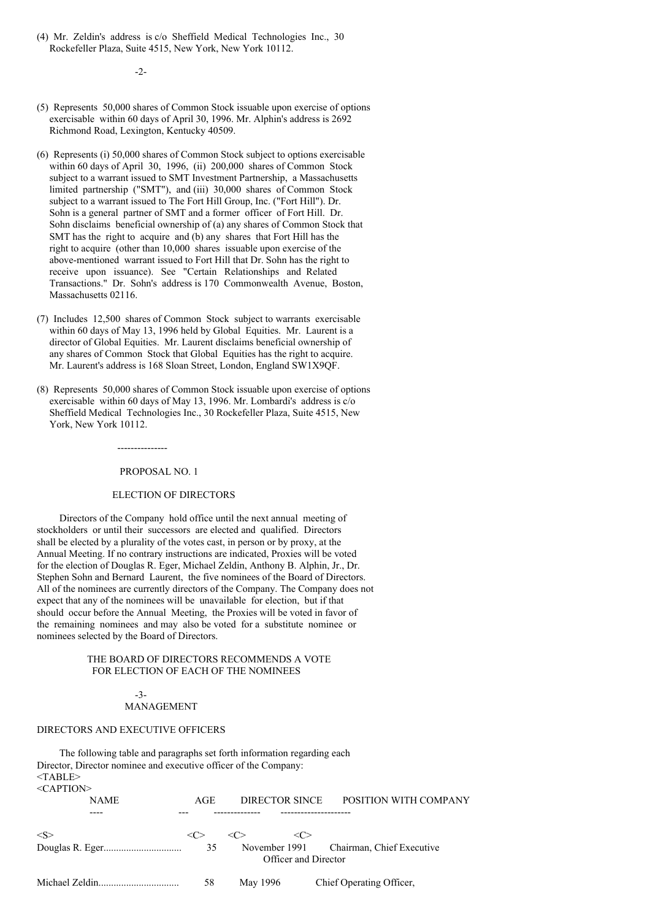(4) Mr. Zeldin's address is c/o Sheffield Medical Technologies Inc., 30 Rockefeller Plaza, Suite 4515, New York, New York 10112.

-2-

- (5) Represents 50,000 shares of Common Stock issuable upon exercise of options exercisable within 60 days of April 30, 1996. Mr. Alphin's address is 2692 Richmond Road, Lexington, Kentucky 40509.
- (6) Represents (i) 50,000 shares of Common Stock subject to options exercisable within 60 days of April 30, 1996, (ii) 200,000 shares of Common Stock subject to a warrant issued to SMT Investment Partnership, a Massachusetts limited partnership ("SMT"), and (iii) 30,000 shares of Common Stock subject to a warrant issued to The Fort Hill Group, Inc. ("Fort Hill"). Dr. Sohn is a general partner of SMT and a former officer of Fort Hill. Dr. Sohn disclaims beneficial ownership of (a) any shares of Common Stock that SMT has the right to acquire and (b) any shares that Fort Hill has the right to acquire (other than 10,000 shares issuable upon exercise of the above-mentioned warrant issued to Fort Hill that Dr. Sohn has the right to receive upon issuance). See "Certain Relationships and Related Transactions." Dr. Sohn's address is 170 Commonwealth Avenue, Boston, Massachusetts 02116.
- (7) Includes 12,500 shares of Common Stock subject to warrants exercisable within 60 days of May 13, 1996 held by Global Equities. Mr. Laurent is a director of Global Equities. Mr. Laurent disclaims beneficial ownership of any shares of Common Stock that Global Equities has the right to acquire. Mr. Laurent's address is 168 Sloan Street, London, England SW1X9QF.
- (8) Represents 50,000 shares of Common Stock issuable upon exercise of options exercisable within 60 days of May 13, 1996. Mr. Lombardi's address is c/o Sheffield Medical Technologies Inc., 30 Rockefeller Plaza, Suite 4515, New York, New York 10112.

---------------

### PROPOSAL NO. 1

## ELECTION OF DIRECTORS

Directors of the Company hold office until the next annual meeting of stockholders or until their successors are elected and qualified. Directors shall be elected by a plurality of the votes cast, in person or by proxy, at the Annual Meeting. If no contrary instructions are indicated, Proxies will be voted for the election of Douglas R. Eger, Michael Zeldin, Anthony B. Alphin, Jr., Dr. Stephen Sohn and Bernard Laurent, the five nominees of the Board of Directors. All of the nominees are currently directors of the Company. The Company does not expect that any of the nominees will be unavailable for election, but if that should occur before the Annual Meeting, the Proxies will be voted in favor of the remaining nominees and may also be voted for a substitute nominee or nominees selected by the Board of Directors.

#### THE BOARD OF DIRECTORS RECOMMENDS A VOTE FOR ELECTION OF EACH OF THE NOMINEES

#### -3- MANAGEMENT

#### DIRECTORS AND EXECUTIVE OFFICERS

The following table and paragraphs set forth information regarding each Director, Director nominee and executive officer of the Company:  $<$ TABLE> <CAPTION> NAME AGE DIRECTOR SINCE POSITION WITH COMPANY ---- --- -------------- ---------------------

| $\langle S \rangle$ |     | $\ll$    |                      |                                         |
|---------------------|-----|----------|----------------------|-----------------------------------------|
|                     | 35  |          | Officer and Director | November 1991 Chairman, Chief Executive |
|                     | -58 | May 1996 |                      | Chief Operating Officer,                |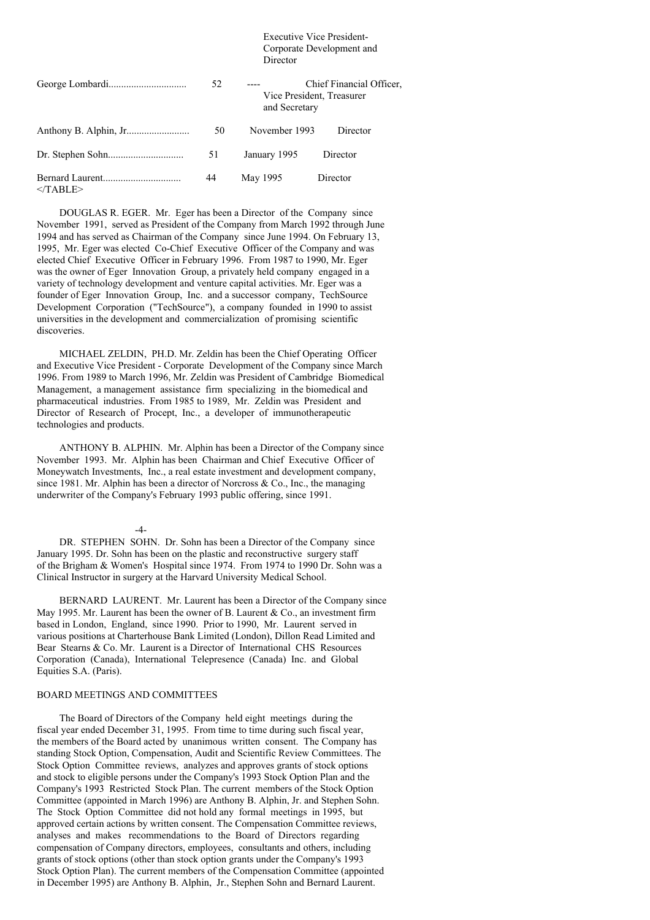### Executive Vice President-Corporate Development and **Director**

|            | 52 | and Secretary | Chief Financial Officer,<br>Vice President, Treasurer |
|------------|----|---------------|-------------------------------------------------------|
|            | 50 | November 1993 | Director                                              |
|            | 51 | January 1995  | Director                                              |
| $<$ TABLE> | 44 | May 1995      | Director                                              |

DOUGLAS R. EGER. Mr. Eger has been a Director of the Company since November 1991, served as President of the Company from March 1992 through June 1994 and has served as Chairman of the Company since June 1994. On February 13, 1995, Mr. Eger was elected Co-Chief Executive Officer of the Company and was elected Chief Executive Officer in February 1996. From 1987 to 1990, Mr. Eger was the owner of Eger Innovation Group, a privately held company engaged in a variety of technology development and venture capital activities. Mr. Eger was a founder of Eger Innovation Group, Inc. and a successor company, TechSource Development Corporation ("TechSource"), a company founded in 1990 to assist universities in the development and commercialization of promising scientific discoveries.

MICHAEL ZELDIN, PH.D. Mr. Zeldin has been the Chief Operating Officer and Executive Vice President - Corporate Development of the Company since March 1996. From 1989 to March 1996, Mr. Zeldin was President of Cambridge Biomedical Management, a management assistance firm specializing in the biomedical and pharmaceutical industries. From 1985 to 1989, Mr. Zeldin was President and Director of Research of Procept, Inc., a developer of immunotherapeutic technologies and products.

ANTHONY B. ALPHIN. Mr. Alphin has been a Director of the Company since November 1993. Mr. Alphin has been Chairman and Chief Executive Officer of Moneywatch Investments, Inc., a real estate investment and development company, since 1981. Mr. Alphin has been a director of Norcross  $\&$  Co., Inc., the managing underwriter of the Company's February 1993 public offering, since 1991.

 $-4-$ 

DR. STEPHEN SOHN. Dr. Sohn has been a Director of the Company since January 1995. Dr. Sohn has been on the plastic and reconstructive surgery staff of the Brigham & Women's Hospital since 1974. From 1974 to 1990 Dr. Sohn was a Clinical Instructor in surgery at the Harvard University Medical School.

BERNARD LAURENT. Mr. Laurent has been a Director of the Company since May 1995. Mr. Laurent has been the owner of B. Laurent  $& Co.,$  an investment firm based in London, England, since 1990. Prior to 1990, Mr. Laurent served in various positions at Charterhouse Bank Limited (London), Dillon Read Limited and Bear Stearns & Co. Mr. Laurent is a Director of International CHS Resources Corporation (Canada), International Telepresence (Canada) Inc. and Global Equities S.A. (Paris).

#### BOARD MEETINGS AND COMMITTEES

The Board of Directors of the Company held eight meetings during the fiscal year ended December 31, 1995. From time to time during such fiscal year, the members of the Board acted by unanimous written consent. The Company has standing Stock Option, Compensation, Audit and Scientific Review Committees. The Stock Option Committee reviews, analyzes and approves grants of stock options and stock to eligible persons under the Company's 1993 Stock Option Plan and the Company's 1993 Restricted Stock Plan. The current members of the Stock Option Committee (appointed in March 1996) are Anthony B. Alphin, Jr. and Stephen Sohn. The Stock Option Committee did not hold any formal meetings in 1995, but approved certain actions by written consent. The Compensation Committee reviews, analyses and makes recommendations to the Board of Directors regarding compensation of Company directors, employees, consultants and others, including grants of stock options (other than stock option grants under the Company's 1993 Stock Option Plan). The current members of the Compensation Committee (appointed in December 1995) are Anthony B. Alphin, Jr., Stephen Sohn and Bernard Laurent.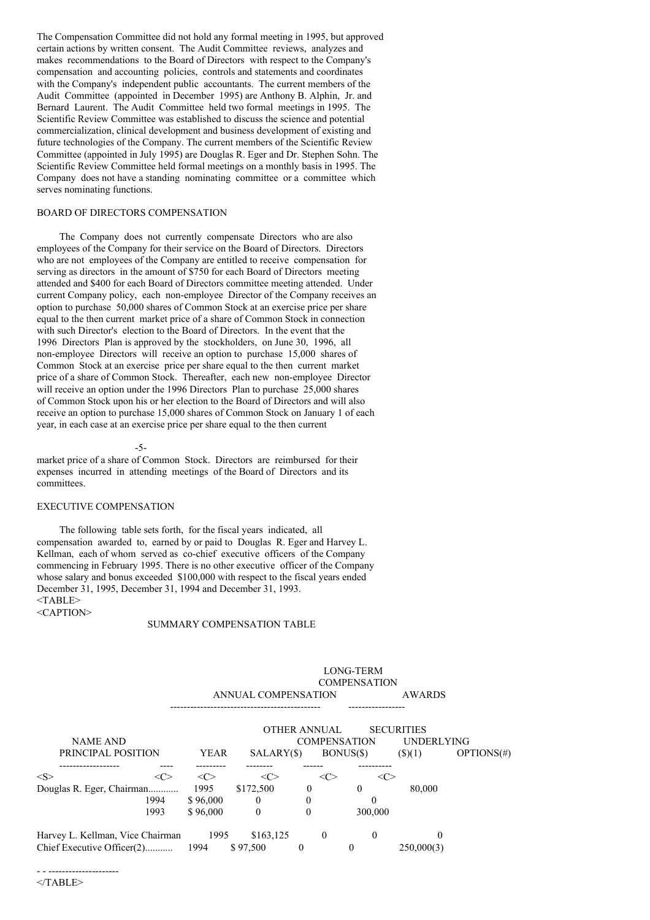The Compensation Committee did not hold any formal meeting in 1995, but approved certain actions by written consent. The Audit Committee reviews, analyzes and makes recommendations to the Board of Directors with respect to the Company's compensation and accounting policies, controls and statements and coordinates with the Company's independent public accountants. The current members of the Audit Committee (appointed in December 1995) are Anthony B. Alphin, Jr. and Bernard Laurent. The Audit Committee held two formal meetings in 1995. The Scientific Review Committee was established to discuss the science and potential commercialization, clinical development and business development of existing and future technologies of the Company. The current members of the Scientific Review Committee (appointed in July 1995) are Douglas R. Eger and Dr. Stephen Sohn. The Scientific Review Committee held formal meetings on a monthly basis in 1995. The Company does not have a standing nominating committee or a committee which serves nominating functions.

# BOARD OF DIRECTORS COMPENSATION

The Company does not currently compensate Directors who are also employees of the Company for their service on the Board of Directors. Directors who are not employees of the Company are entitled to receive compensation for serving as directors in the amount of \$750 for each Board of Directors meeting attended and \$400 for each Board of Directors committee meeting attended. Under current Company policy, each non-employee Director of the Company receives an option to purchase 50,000 shares of Common Stock at an exercise price per share equal to the then current market price of a share of Common Stock in connection with such Director's election to the Board of Directors. In the event that the 1996 Directors Plan is approved by the stockholders, on June 30, 1996, all non-employee Directors will receive an option to purchase 15,000 shares of Common Stock at an exercise price per share equal to the then current market price of a share of Common Stock. Thereafter, each new non-employee Director will receive an option under the 1996 Directors Plan to purchase  $25,000$  shares of Common Stock upon his or her election to the Board of Directors and will also receive an option to purchase 15,000 shares of Common Stock on January 1 of each year, in each case at an exercise price per share equal to the then current

-5-

market price of a share of Common Stock. Directors are reimbursed for their expenses incurred in attending meetings of the Board of Directors and its committees.

# EXECUTIVE COMPENSATION

The following table sets forth, for the fiscal years indicated, all compensation awarded to, earned by or paid to Douglas R. Eger and Harvey L. Kellman, each of whom served as co-chief executive officers of the Company commencing in February 1995. There is no other executive officer of the Company whose salary and bonus exceeded \$100,000 with respect to the fiscal years ended December 31, 1995, December 31, 1994 and December 31, 1993. <TABLE> <CAPTION>

### SUMMARY COMPENSATION TABLE

|                                  |             |                     |              | LONG-TERM<br><b>COMPENSATION</b> |                                        |            |
|----------------------------------|-------------|---------------------|--------------|----------------------------------|----------------------------------------|------------|
|                                  |             | ANNUAL COMPENSATION |              |                                  | <b>AWARDS</b>                          |            |
| <b>NAME AND</b>                  |             |                     | OTHER ANNUAL | <b>COMPENSATION</b>              | <b>SECURITIES</b><br><b>UNDERLYING</b> |            |
| PRINCIPAL POSITION               | <b>YEAR</b> | SALARY(\$)          |              | BONUS(\$)                        | $($ \$ $)(1)$                          | OPTIONS(#) |
| < S ><br>$<\infty$               | <<>         | <<>                 |              | $\langle C \rangle$<br><<>       |                                        |            |
| Douglas R. Eger, Chairman        | 1995        | \$172,500           | $\theta$     | $\Omega$                         | 80,000                                 |            |
| 1994                             | \$96,000    | $\theta$            | $\theta$     | 0                                |                                        |            |
| 1993                             | \$96,000    | $\Omega$            | $\Omega$     | 300,000                          |                                        |            |
| Harvey L. Kellman, Vice Chairman | 1995        | \$163,125           | $\Omega$     | $\theta$                         | $\theta$                               |            |
| Chief Executive Officer(2)       | 1994        | \$97,500            | 0            | 0                                | 250,000(3)                             |            |

LONG-TERM

- - ---------------------  $<$ /TABLE>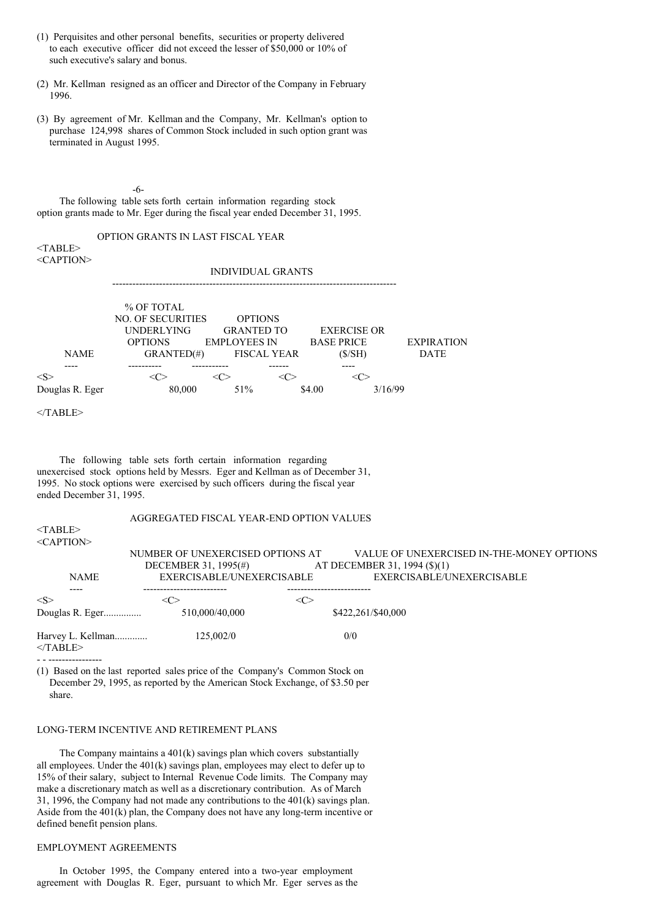- (1) Perquisites and other personal benefits, securities or property delivered to each executive officer did not exceed the lesser of \$50,000 or 10% of such executive's salary and bonus.
- (2) Mr. Kellman resigned as an officer and Director of the Company in February 1996.
- (3) By agreement of Mr. Kellman and the Company, Mr. Kellman's option to purchase 124,998 shares of Common Stock included in such option grant was terminated in August 1995.

#### -6-

The following table sets forth certain information regarding stock option grants made to Mr. Eger during the fiscal year ended December 31, 1995.

| $<$ TABLE>      | OPTION GRANTS IN LAST FISCAL YEAR                                                              |     |                                                                                  |                                                   |         |                                  |  |
|-----------------|------------------------------------------------------------------------------------------------|-----|----------------------------------------------------------------------------------|---------------------------------------------------|---------|----------------------------------|--|
| $<$ CAPTION>    |                                                                                                |     | <b>INDIVIDUAL GRANTS</b>                                                         |                                                   |         |                                  |  |
| <b>NAME</b>     | % OF TOTAL<br><b>NO. OF SECURITIES</b><br><b>UNDERLYING</b><br><b>OPTIONS</b><br>$GRANTED(\#)$ |     | <b>OPTIONS</b><br><b>GRANTED TO</b><br><b>EMPLOYEES IN</b><br><b>FISCAL YEAR</b> | <b>EXERCISE OR</b><br><b>BASE PRICE</b><br>(S/SH) |         | <b>EXPIRATION</b><br><b>DATE</b> |  |
| < S >           | $<\!\!C\!\!>$                                                                                  | <<> | <<>                                                                              | $<\!\!C\!\!>$                                     |         |                                  |  |
| Douglas R. Eger | 80,000                                                                                         |     | 51%                                                                              | \$4.00                                            | 3/16/99 |                                  |  |
| $<$ TABLE>      |                                                                                                |     |                                                                                  |                                                   |         |                                  |  |
|                 | THE PERIOD CONTRACT COMPANY CONTRACTOR CONTRACTOR CONTRACTOR                                   |     |                                                                                  |                                                   |         |                                  |  |

The following table sets forth certain information regarding unexercised stock options held by Messrs. Eger and Kellman as of December 31, 1995. No stock options were exercised by such officers during the fiscal year ended December 31, 1995.

## AGGREGATED FISCAL YEAR-END OPTION VALUES

<TABLE> <CAPTION>

| <b>NAME</b>                     | NUMBER OF UNEXERCISED OPTIONS AT<br>DECEMBER 31, 1995(#)<br>EXERCISABLE/UNEXERCISABLE |         | VALUE OF UNEXERCISED IN-THE-MONEY OPTIONS<br>AT DECEMBER 31, 1994 (\$)(1)<br>EXERCISABLE/UNEXERCISABLE |
|---------------------------------|---------------------------------------------------------------------------------------|---------|--------------------------------------------------------------------------------------------------------|
| $<\!S>$<br>Douglas R. Eger      | <േ<br>510,000/40,000                                                                  | <c></c> | \$422,261/\$40,000                                                                                     |
| Harvey L. Kellman<br>$<$ TABLE> | 125,002/0                                                                             |         | 0/0                                                                                                    |

(1) Based on the last reported sales price of the Company's Common Stock on December 29, 1995, as reported by the American Stock Exchange, of \$3.50 per share.

### LONG-TERM INCENTIVE AND RETIREMENT PLANS

The Company maintains a 401(k) savings plan which covers substantially all employees. Under the 401(k) savings plan, employees may elect to defer up to 15% of their salary, subject to Internal Revenue Code limits. The Company may make a discretionary match as well as a discretionary contribution. As of March 31, 1996, the Company had not made any contributions to the 401(k) savings plan. Aside from the 401(k) plan, the Company does not have any long-term incentive or defined benefit pension plans.

## EMPLOYMENT AGREEMENTS

In October 1995, the Company entered into a two-year employment agreement with Douglas R. Eger, pursuant to which Mr. Eger serves as the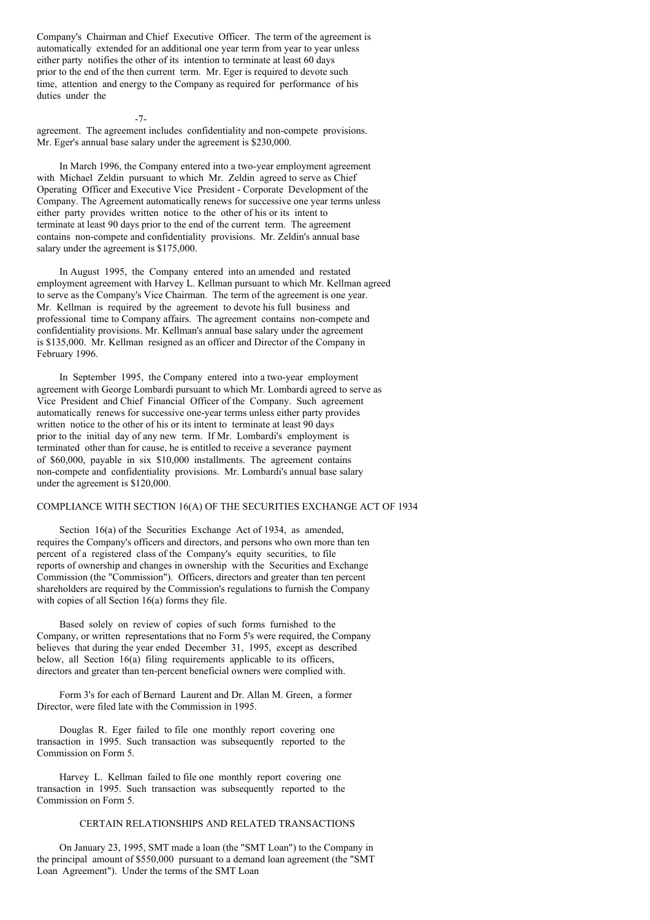Company's Chairman and Chief Executive Officer. The term of the agreement is automatically extended for an additional one year term from year to year unless either party notifies the other of its intention to terminate at least 60 days prior to the end of the then current term. Mr. Eger is required to devote such time, attention and energy to the Company as required for performance of his duties under the

 $-7-$ 

agreement. The agreement includes confidentiality and non-compete provisions. Mr. Eger's annual base salary under the agreement is \$230,000.

In March 1996, the Company entered into a two-year employment agreement with Michael Zeldin pursuant to which Mr. Zeldin agreed to serve as Chief Operating Officer and Executive Vice President - Corporate Development of the Company. The Agreement automatically renews for successive one year terms unless either party provides written notice to the other of his or its intent to terminate at least 90 days prior to the end of the current term. The agreement contains non-compete and confidentiality provisions. Mr. Zeldin's annual base salary under the agreement is \$175,000.

In August 1995, the Company entered into an amended and restated employment agreement with Harvey L. Kellman pursuant to which Mr. Kellman agreed to serve as the Company's Vice Chairman. The term of the agreement is one year. Mr. Kellman is required by the agreement to devote his full business and professional time to Company affairs. The agreement contains non-compete and confidentiality provisions. Mr. Kellman's annual base salary under the agreement is \$135,000. Mr. Kellman resigned as an officer and Director of the Company in February 1996.

In September 1995, the Company entered into a two-year employment agreement with George Lombardi pursuant to which Mr. Lombardi agreed to serve as Vice President and Chief Financial Officer of the Company. Such agreement automatically renews for successive one-year terms unless either party provides written notice to the other of his or its intent to terminate at least 90 days prior to the initial day of any new term. If Mr. Lombardi's employment is terminated other than for cause, he is entitled to receive a severance payment of \$60,000, payable in six \$10,000 installments. The agreement contains non-compete and confidentiality provisions. Mr. Lombardi's annual base salary under the agreement is \$120,000.

# COMPLIANCE WITH SECTION 16(A) OF THE SECURITIES EXCHANGE ACT OF 1934

Section 16(a) of the Securities Exchange Act of 1934, as amended, requires the Company's officers and directors, and persons who own more than ten percent of a registered class of the Company's equity securities, to file reports of ownership and changes in ownership with the Securities and Exchange Commission (the "Commission"). Officers, directors and greater than ten percent shareholders are required by the Commission's regulations to furnish the Company with copies of all Section 16(a) forms they file.

Based solely on review of copies of such forms furnished to the Company, or written representations that no Form 5's were required, the Company believes that during the year ended December 31, 1995, except as described below, all Section 16(a) filing requirements applicable to its officers, directors and greater than ten-percent beneficial owners were complied with.

Form 3's for each of Bernard Laurent and Dr. Allan M. Green, a former Director, were filed late with the Commission in 1995.

Douglas R. Eger failed to file one monthly report covering one transaction in 1995. Such transaction was subsequently reported to the Commission on Form 5.

Harvey L. Kellman failed to file one monthly report covering one transaction in 1995. Such transaction was subsequently reported to the Commission on Form 5.

### CERTAIN RELATIONSHIPS AND RELATED TRANSACTIONS

On January 23, 1995, SMT made a loan (the "SMT Loan") to the Company in the principal amount of \$550,000 pursuant to a demand loan agreement (the "SMT Loan Agreement"). Under the terms of the SMT Loan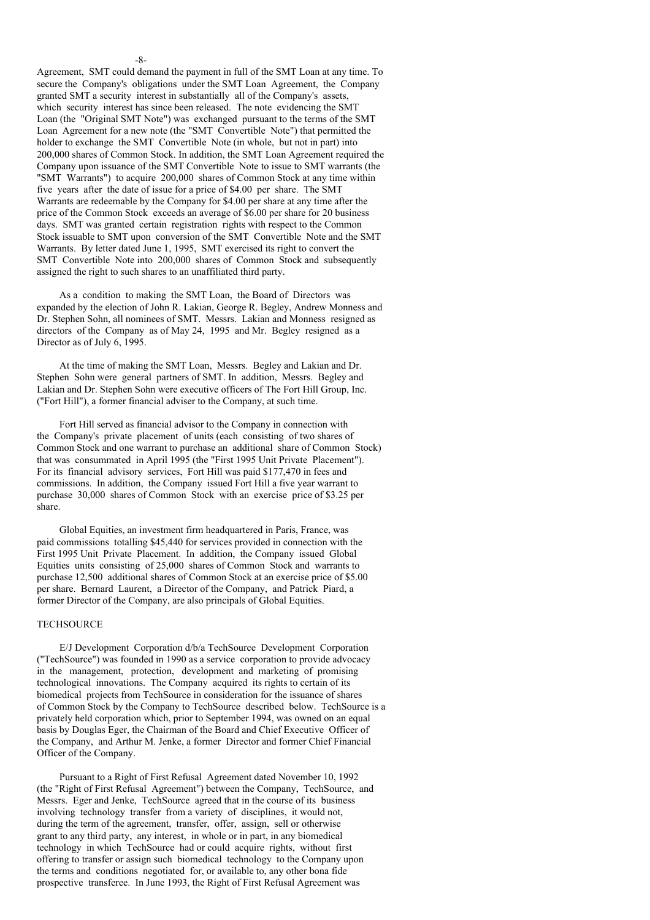## Agreement, SMT could demand the payment in full of the SMT Loan at any time. To secure the Company's obligations under the SMT Loan Agreement, the Company granted SMT a security interest in substantially all of the Company's assets, which security interest has since been released. The note evidencing the SMT Loan (the "Original SMT Note") was exchanged pursuant to the terms of the SMT Loan Agreement for a new note (the "SMT Convertible Note") that permitted the holder to exchange the SMT Convertible Note (in whole, but not in part) into 200,000 shares of Common Stock. In addition, the SMT Loan Agreement required the Company upon issuance of the SMT Convertible Note to issue to SMT warrants (the "SMT Warrants") to acquire 200,000 shares of Common Stock at any time within five years after the date of issue for a price of \$4.00 per share. The SMT Warrants are redeemable by the Company for \$4.00 per share at any time after the price of the Common Stock exceeds an average of \$6.00 per share for 20 business days. SMT was granted certain registration rights with respect to the Common Stock issuable to SMT upon conversion of the SMT Convertible Note and the SMT Warrants. By letter dated June 1, 1995, SMT exercised its right to convert the SMT Convertible Note into 200,000 shares of Common Stock and subsequently assigned the right to such shares to an unaffiliated third party.

-8-

As a condition to making the SMT Loan, the Board of Directors was expanded by the election of John R. Lakian, George R. Begley, Andrew Monness and Dr. Stephen Sohn, all nominees of SMT. Messrs. Lakian and Monness resigned as directors of the Company as of May 24, 1995 and Mr. Begley resigned as a Director as of July 6, 1995.

At the time of making the SMT Loan, Messrs. Begley and Lakian and Dr. Stephen Sohn were general partners of SMT. In addition, Messrs. Begley and Lakian and Dr. Stephen Sohn were executive officers of The Fort Hill Group, Inc. ("Fort Hill"), a former financial adviser to the Company, at such time.

Fort Hill served as financial advisor to the Company in connection with the Company's private placement of units (each consisting of two shares of Common Stock and one warrant to purchase an additional share of Common Stock) that was consummated in April 1995 (the "First 1995 Unit Private Placement"). For its financial advisory services, Fort Hill was paid \$177,470 in fees and commissions. In addition, the Company issued Fort Hill a five year warrant to purchase 30,000 shares of Common Stock with an exercise price of \$3.25 per share.

Global Equities, an investment firm headquartered in Paris, France, was paid commissions totalling \$45,440 for services provided in connection with the First 1995 Unit Private Placement. In addition, the Company issued Global Equities units consisting of 25,000 shares of Common Stock and warrants to purchase 12,500 additional shares of Common Stock at an exercise price of \$5.00 per share. Bernard Laurent, a Director of the Company, and Patrick Piard, a former Director of the Company, are also principals of Global Equities.

#### **TECHSOURCE**

E/J Development Corporation d/b/a TechSource Development Corporation ("TechSource") was founded in 1990 as a service corporation to provide advocacy in the management, protection, development and marketing of promising technological innovations. The Company acquired its rights to certain of its biomedical projects from TechSource in consideration for the issuance of shares of Common Stock by the Company to TechSource described below. TechSource is a privately held corporation which, prior to September 1994, was owned on an equal basis by Douglas Eger, the Chairman of the Board and Chief Executive Officer of the Company, and Arthur M. Jenke, a former Director and former Chief Financial Officer of the Company.

Pursuant to a Right of First Refusal Agreement dated November 10, 1992 (the "Right of First Refusal Agreement") between the Company, TechSource, and Messrs. Eger and Jenke, TechSource agreed that in the course of its business involving technology transfer from a variety of disciplines, it would not, during the term of the agreement, transfer, offer, assign, sell or otherwise grant to any third party, any interest, in whole or in part, in any biomedical technology in which TechSource had or could acquire rights, without first offering to transfer or assign such biomedical technology to the Company upon the terms and conditions negotiated for, or available to, any other bona fide prospective transferee. In June 1993, the Right of First Refusal Agreement was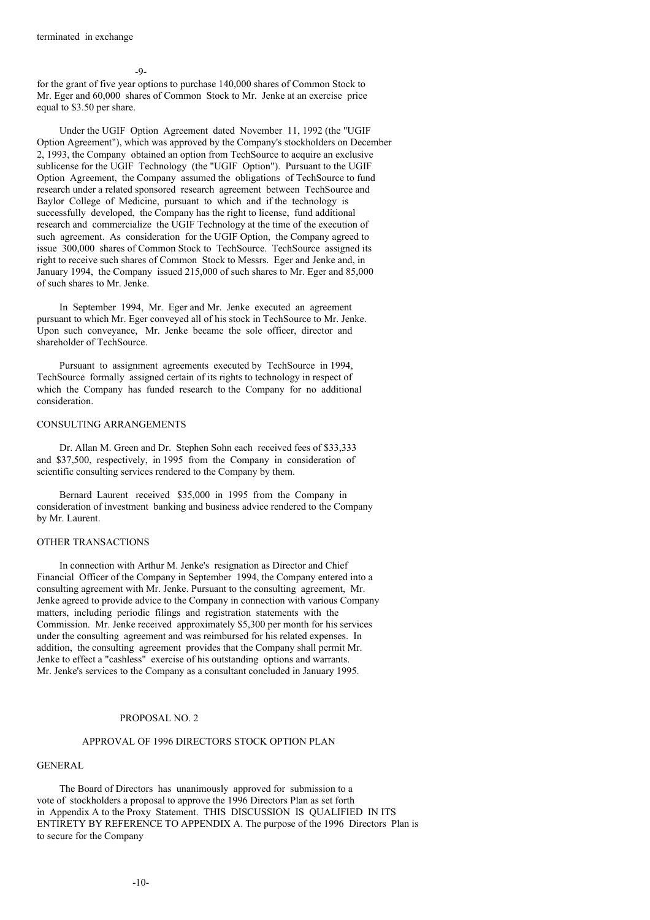$-9-$ 

for the grant of five year options to purchase 140,000 shares of Common Stock to Mr. Eger and 60,000 shares of Common Stock to Mr. Jenke at an exercise price equal to \$3.50 per share.

Under the UGIF Option Agreement dated November 11, 1992 (the "UGIF Option Agreement"), which was approved by the Company's stockholders on December 2, 1993, the Company obtained an option from TechSource to acquire an exclusive sublicense for the UGIF Technology (the "UGIF Option"). Pursuant to the UGIF Option Agreement, the Company assumed the obligations of TechSource to fund research under a related sponsored research agreement between TechSource and Baylor College of Medicine, pursuant to which and if the technology is successfully developed, the Company has the right to license, fund additional research and commercialize the UGIF Technology at the time of the execution of such agreement. As consideration for the UGIF Option, the Company agreed to issue 300,000 shares of Common Stock to TechSource. TechSource assigned its right to receive such shares of Common Stock to Messrs. Eger and Jenke and, in January 1994, the Company issued 215,000 of such shares to Mr. Eger and 85,000 of such shares to Mr. Jenke.

In September 1994, Mr. Eger and Mr. Jenke executed an agreement pursuant to which Mr. Eger conveyed all of his stock in TechSource to Mr. Jenke. Upon such conveyance, Mr. Jenke became the sole officer, director and shareholder of TechSource.

Pursuant to assignment agreements executed by TechSource in 1994, TechSource formally assigned certain of its rights to technology in respect of which the Company has funded research to the Company for no additional consideration.

## CONSULTING ARRANGEMENTS

Dr. Allan M. Green and Dr. Stephen Sohn each received fees of \$33,333 and \$37,500, respectively, in 1995 from the Company in consideration of scientific consulting services rendered to the Company by them.

Bernard Laurent received \$35,000 in 1995 from the Company in consideration of investment banking and business advice rendered to the Company by Mr. Laurent.

### OTHER TRANSACTIONS

In connection with Arthur M. Jenke's resignation as Director and Chief Financial Officer of the Company in September 1994, the Company entered into a consulting agreement with Mr. Jenke. Pursuant to the consulting agreement, Mr. Jenke agreed to provide advice to the Company in connection with various Company matters, including periodic filings and registration statements with the Commission. Mr. Jenke received approximately \$5,300 per month for his services under the consulting agreement and was reimbursed for his related expenses. In addition, the consulting agreement provides that the Company shall permit Mr. Jenke to effect a "cashless" exercise of his outstanding options and warrants. Mr. Jenke's services to the Company as a consultant concluded in January 1995.

### PROPOSAL NO. 2

#### APPROVAL OF 1996 DIRECTORS STOCK OPTION PLAN

## GENERAL

The Board of Directors has unanimously approved for submission to a vote of stockholders a proposal to approve the 1996 Directors Plan as set forth in Appendix A to the Proxy Statement. THIS DISCUSSION IS QUALIFIED IN ITS ENTIRETY BY REFERENCE TO APPENDIX A. The purpose of the 1996 Directors Plan is to secure for the Company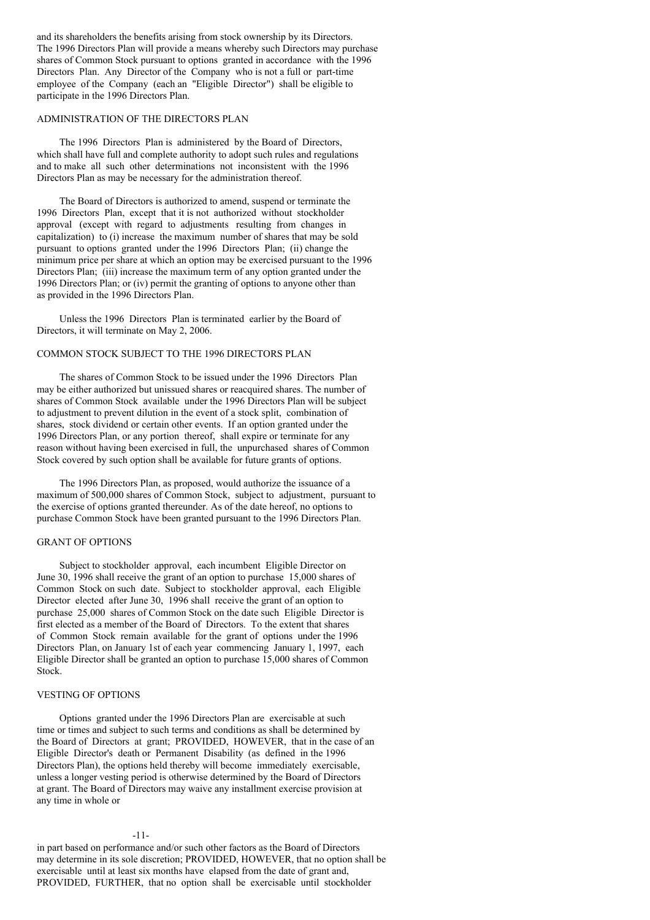and its shareholders the benefits arising from stock ownership by its Directors. The 1996 Directors Plan will provide a means whereby such Directors may purchase shares of Common Stock pursuant to options granted in accordance with the 1996 Directors Plan. Any Director of the Company who is not a full or part-time employee of the Company (each an "Eligible Director") shall be eligible to participate in the 1996 Directors Plan.

# ADMINISTRATION OF THE DIRECTORS PLAN

The 1996 Directors Plan is administered by the Board of Directors, which shall have full and complete authority to adopt such rules and regulations and to make all such other determinations not inconsistent with the 1996 Directors Plan as may be necessary for the administration thereof.

The Board of Directors is authorized to amend, suspend or terminate the 1996 Directors Plan, except that it is not authorized without stockholder approval (except with regard to adjustments resulting from changes in capitalization) to (i) increase the maximum number of shares that may be sold pursuant to options granted under the 1996 Directors Plan; (ii) change the minimum price per share at which an option may be exercised pursuant to the 1996 Directors Plan; (iii) increase the maximum term of any option granted under the 1996 Directors Plan; or (iv) permit the granting of options to anyone other than as provided in the 1996 Directors Plan.

Unless the 1996 Directors Plan is terminated earlier by the Board of Directors, it will terminate on May 2, 2006.

## COMMON STOCK SUBJECT TO THE 1996 DIRECTORS PLAN

The shares of Common Stock to be issued under the 1996 Directors Plan may be either authorized but unissued shares or reacquired shares. The number of shares of Common Stock available under the 1996 Directors Plan will be subject to adjustment to prevent dilution in the event of a stock split, combination of shares, stock dividend or certain other events. If an option granted under the 1996 Directors Plan, or any portion thereof, shall expire or terminate for any reason without having been exercised in full, the unpurchased shares of Common Stock covered by such option shall be available for future grants of options.

The 1996 Directors Plan, as proposed, would authorize the issuance of a maximum of 500,000 shares of Common Stock, subject to adjustment, pursuant to the exercise of options granted thereunder. As of the date hereof, no options to purchase Common Stock have been granted pursuant to the 1996 Directors Plan.

### GRANT OF OPTIONS

Subject to stockholder approval, each incumbent Eligible Director on June 30, 1996 shall receive the grant of an option to purchase 15,000 shares of Common Stock on such date. Subject to stockholder approval, each Eligible Director elected after June 30, 1996 shall receive the grant of an option to purchase 25,000 shares of Common Stock on the date such Eligible Director is first elected as a member of the Board of Directors. To the extent that shares of Common Stock remain available for the grant of options under the 1996 Directors Plan, on January 1st of each year commencing January 1, 1997, each Eligible Director shall be granted an option to purchase 15,000 shares of Common Stock.

## VESTING OF OPTIONS

Options granted under the 1996 Directors Plan are exercisable at such time or times and subject to such terms and conditions as shall be determined by the Board of Directors at grant; PROVIDED, HOWEVER, that in the case of an Eligible Director's death or Permanent Disability (as defined in the 1996 Directors Plan), the options held thereby will become immediately exercisable, unless a longer vesting period is otherwise determined by the Board of Directors at grant. The Board of Directors may waive any installment exercise provision at any time in whole or

#### -11-

in part based on performance and/or such other factors as the Board of Directors may determine in its sole discretion; PROVIDED, HOWEVER, that no option shall be exercisable until at least six months have elapsed from the date of grant and, PROVIDED, FURTHER, that no option shall be exercisable until stockholder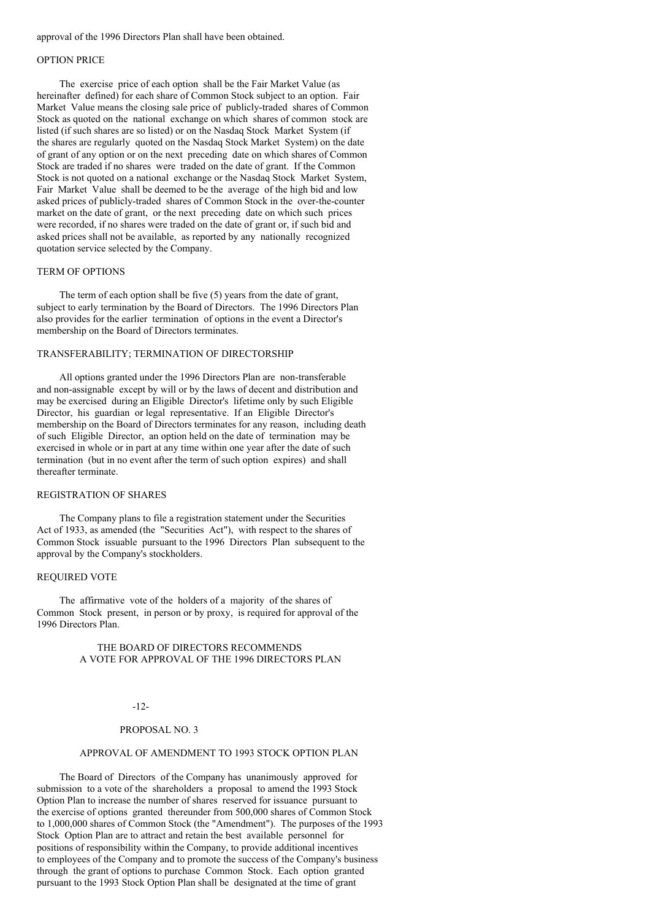#### approval of the 1996 Directors Plan shall have been obtained.

#### OPTION PRICE

The exercise price of each option shall be the Fair Market Value (as hereinafter defined) for each share of Common Stock subject to an option. Fair Market Value means the closing sale price of publicly-traded shares of Common Stock as quoted on the national exchange on which shares of common stock are listed (if such shares are so listed) or on the Nasdaq Stock Market System (if the shares are regularly quoted on the Nasdaq Stock Market System) on the date of grant of any option or on the next preceding date on which shares of Common Stock are traded if no shares were traded on the date of grant. If the Common Stock is not quoted on a national exchange or the Nasdaq Stock Market System, Fair Market Value shall be deemed to be the average of the high bid and low asked prices of publicly-traded shares of Common Stock in the over-the-counter market on the date of grant, or the next preceding date on which such prices were recorded, if no shares were traded on the date of grant or, if such bid and asked prices shall not be available, as reported by any nationally recognized quotation service selected by the Company.

## TERM OF OPTIONS

The term of each option shall be five (5) years from the date of grant, subject to early termination by the Board of Directors. The 1996 Directors Plan also provides for the earlier termination of options in the event a Director's membership on the Board of Directors terminates.

## TRANSFERABILITY; TERMINATION OF DIRECTORSHIP

All options granted under the 1996 Directors Plan are non-transferable and non-assignable except by will or by the laws of decent and distribution and may be exercised during an Eligible Director's lifetime only by such Eligible Director, his guardian or legal representative. If an Eligible Director's membership on the Board of Directors terminates for any reason, including death of such Eligible Director, an option held on the date of termination may be exercised in whole or in part at any time within one year after the date of such termination (but in no event after the term of such option expires) and shall thereafter terminate.

### REGISTRATION OF SHARES

The Company plans to file a registration statement under the Securities Act of 1933, as amended (the "Securities Act"), with respect to the shares of Common Stock issuable pursuant to the 1996 Directors Plan subsequent to the approval by the Company's stockholders.

### REQUIRED VOTE

The affirmative vote of the holders of a majority of the shares of Common Stock present, in person or by proxy, is required for approval of the 1996 Directors Plan.

### THE BOARD OF DIRECTORS RECOMMENDS A VOTE FOR APPROVAL OF THE 1996 DIRECTORS PLAN

## -12-

#### PROPOSAL NO. 3

### APPROVAL OF AMENDMENT TO 1993 STOCK OPTION PLAN

The Board of Directors of the Company has unanimously approved for submission to a vote of the shareholders a proposal to amend the 1993 Stock Option Plan to increase the number of shares reserved for issuance pursuant to the exercise of options granted thereunder from 500,000 shares of Common Stock to 1,000,000 shares of Common Stock (the "Amendment"). The purposes of the 1993 Stock Option Plan are to attract and retain the best available personnel for positions of responsibility within the Company, to provide additional incentives to employees of the Company and to promote the success of the Company's business through the grant of options to purchase Common Stock. Each option granted pursuant to the 1993 Stock Option Plan shall be designated at the time of grant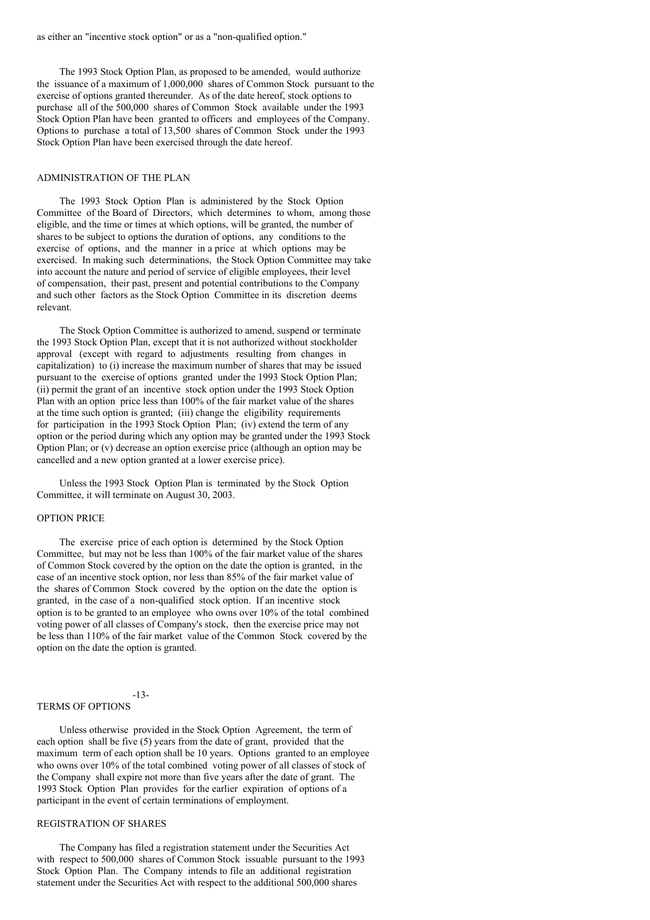The 1993 Stock Option Plan, as proposed to be amended, would authorize the issuance of a maximum of 1,000,000 shares of Common Stock pursuant to the exercise of options granted thereunder. As of the date hereof, stock options to purchase all of the 500,000 shares of Common Stock available under the 1993 Stock Option Plan have been granted to officers and employees of the Company. Options to purchase a total of 13,500 shares of Common Stock under the 1993 Stock Option Plan have been exercised through the date hereof.

#### ADMINISTRATION OF THE PLAN

The 1993 Stock Option Plan is administered by the Stock Option Committee of the Board of Directors, which determines to whom, among those eligible, and the time or times at which options, will be granted, the number of shares to be subject to options the duration of options, any conditions to the exercise of options, and the manner in a price at which options may be exercised. In making such determinations, the Stock Option Committee may take into account the nature and period of service of eligible employees, their level of compensation, their past, present and potential contributions to the Company and such other factors as the Stock Option Committee in its discretion deems relevant.

The Stock Option Committee is authorized to amend, suspend or terminate the 1993 Stock Option Plan, except that it is not authorized without stockholder approval (except with regard to adjustments resulting from changes in capitalization) to (i) increase the maximum number of shares that may be issued pursuant to the exercise of options granted under the 1993 Stock Option Plan; (ii) permit the grant of an incentive stock option under the 1993 Stock Option Plan with an option price less than 100% of the fair market value of the shares at the time such option is granted; (iii) change the eligibility requirements for participation in the 1993 Stock Option Plan; (iv) extend the term of any option or the period during which any option may be granted under the 1993 Stock Option Plan; or (v) decrease an option exercise price (although an option may be cancelled and a new option granted at a lower exercise price).

Unless the 1993 Stock Option Plan is terminated by the Stock Option Committee, it will terminate on August 30, 2003.

### OPTION PRICE

The exercise price of each option is determined by the Stock Option Committee, but may not be less than 100% of the fair market value of the shares of Common Stock covered by the option on the date the option is granted, in the case of an incentive stock option, nor less than 85% of the fair market value of the shares of Common Stock covered by the option on the date the option is granted, in the case of a non-qualified stock option. If an incentive stock option is to be granted to an employee who owns over 10% of the total combined voting power of all classes of Company's stock, then the exercise price may not be less than 110% of the fair market value of the Common Stock covered by the option on the date the option is granted.

#### TERMS OF OPTIONS

-13-

Unless otherwise provided in the Stock Option Agreement, the term of each option shall be five (5) years from the date of grant, provided that the maximum term of each option shall be 10 years. Options granted to an employee who owns over 10% of the total combined voting power of all classes of stock of the Company shall expire not more than five years after the date of grant. The 1993 Stock Option Plan provides for the earlier expiration of options of a participant in the event of certain terminations of employment.

#### REGISTRATION OF SHARES

The Company has filed a registration statement under the Securities Act with respect to 500,000 shares of Common Stock issuable pursuant to the 1993 Stock Option Plan. The Company intends to file an additional registration statement under the Securities Act with respect to the additional 500,000 shares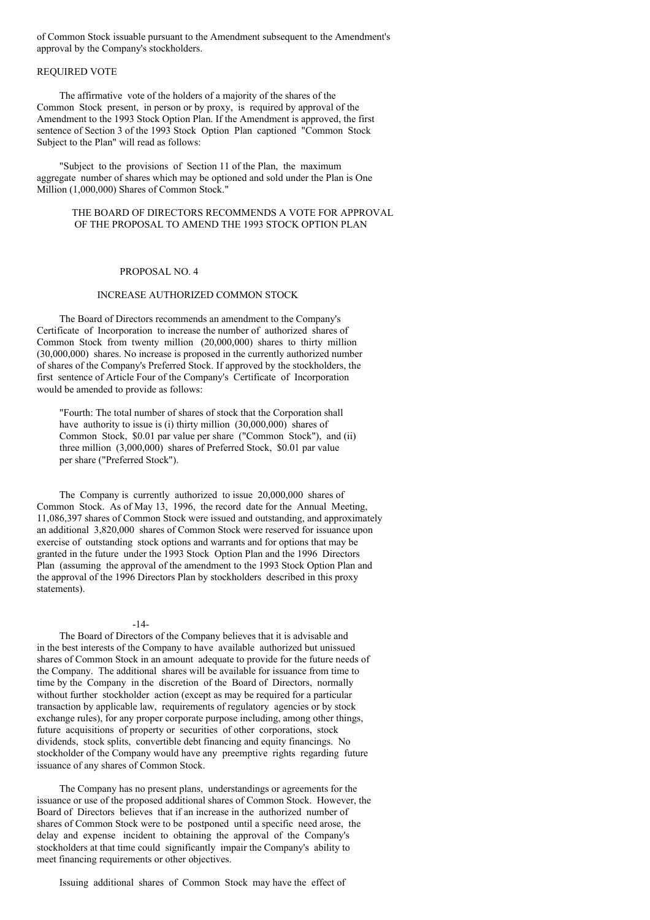of Common Stock issuable pursuant to the Amendment subsequent to the Amendment's approval by the Company's stockholders.

# REQUIRED VOTE

The affirmative vote of the holders of a majority of the shares of the Common Stock present, in person or by proxy, is required by approval of the Amendment to the 1993 Stock Option Plan. If the Amendment is approved, the first sentence of Section 3 of the 1993 Stock Option Plan captioned "Common Stock Subject to the Plan" will read as follows:

"Subject to the provisions of Section 11 of the Plan, the maximum aggregate number of shares which may be optioned and sold under the Plan is One Million (1,000,000) Shares of Common Stock."

### THE BOARD OF DIRECTORS RECOMMENDS A VOTE FOR APPROVAL OF THE PROPOSAL TO AMEND THE 1993 STOCK OPTION PLAN

# PROPOSAL NO. 4

# INCREASE AUTHORIZED COMMON STOCK

The Board of Directors recommends an amendment to the Company's Certificate of Incorporation to increase the number of authorized shares of Common Stock from twenty million (20,000,000) shares to thirty million (30,000,000) shares. No increase is proposed in the currently authorized number of shares of the Company's Preferred Stock. If approved by the stockholders, the first sentence of Article Four of the Company's Certificate of Incorporation would be amended to provide as follows:

"Fourth: The total number of shares of stock that the Corporation shall have authority to issue is (i) thirty million  $(30,000,000)$  shares of Common Stock, \$0.01 par value per share ("Common Stock"), and (ii) three million (3,000,000) shares of Preferred Stock, \$0.01 par value per share ("Preferred Stock").

The Company is currently authorized to issue 20,000,000 shares of Common Stock. As of May 13, 1996, the record date for the Annual Meeting, 11,086,397 shares of Common Stock were issued and outstanding, and approximately an additional 3,820,000 shares of Common Stock were reserved for issuance upon exercise of outstanding stock options and warrants and for options that may be granted in the future under the 1993 Stock Option Plan and the 1996 Directors Plan (assuming the approval of the amendment to the 1993 Stock Option Plan and the approval of the 1996 Directors Plan by stockholders described in this proxy statements).

#### $-14-$

The Board of Directors of the Company believes that it is advisable and in the best interests of the Company to have available authorized but unissued shares of Common Stock in an amount adequate to provide for the future needs of the Company. The additional shares will be available for issuance from time to time by the Company in the discretion of the Board of Directors, normally without further stockholder action (except as may be required for a particular transaction by applicable law, requirements of regulatory agencies or by stock exchange rules), for any proper corporate purpose including, among other things, future acquisitions of property or securities of other corporations, stock dividends, stock splits, convertible debt financing and equity financings. No stockholder of the Company would have any preemptive rights regarding future issuance of any shares of Common Stock.

The Company has no present plans, understandings or agreements for the issuance or use of the proposed additional shares of Common Stock. However, the Board of Directors believes that if an increase in the authorized number of shares of Common Stock were to be postponed until a specific need arose, the delay and expense incident to obtaining the approval of the Company's stockholders at that time could significantly impair the Company's ability to meet financing requirements or other objectives.

Issuing additional shares of Common Stock may have the effect of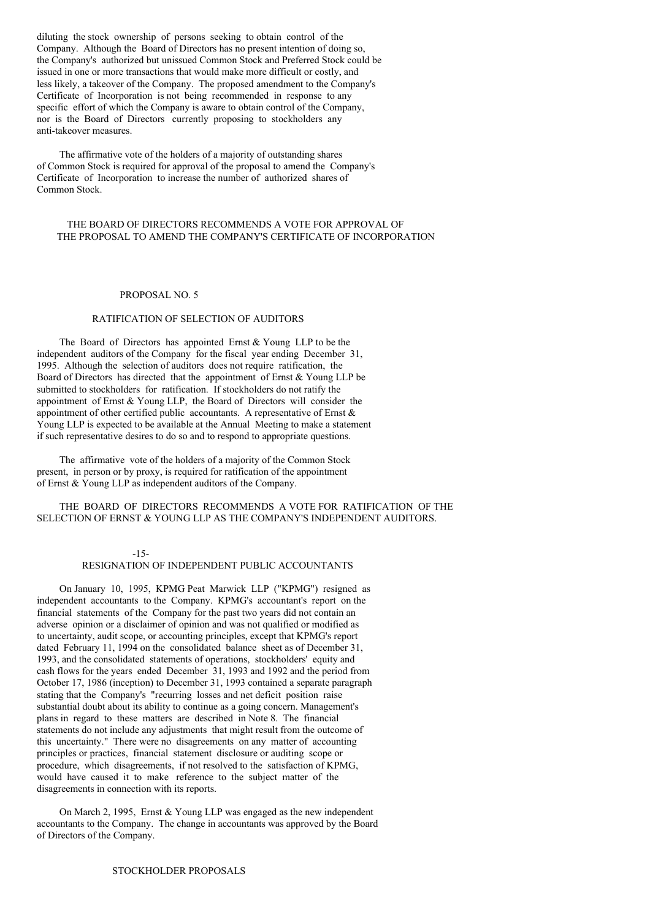diluting the stock ownership of persons seeking to obtain control of the Company. Although the Board of Directors has no present intention of doing so, the Company's authorized but unissued Common Stock and Preferred Stock could be issued in one or more transactions that would make more difficult or costly, and less likely, a takeover of the Company. The proposed amendment to the Company's Certificate of Incorporation is not being recommended in response to any specific effort of which the Company is aware to obtain control of the Company, nor is the Board of Directors currently proposing to stockholders any anti-takeover measures.

The affirmative vote of the holders of a majority of outstanding shares of Common Stock is required for approval of the proposal to amend the Company's Certificate of Incorporation to increase the number of authorized shares of Common Stock.

## THE BOARD OF DIRECTORS RECOMMENDS A VOTE FOR APPROVAL OF THE PROPOSAL TO AMEND THE COMPANY'S CERTIFICATE OF INCORPORATION

### PROPOSAL NO. 5

### RATIFICATION OF SELECTION OF AUDITORS

The Board of Directors has appointed Ernst & Young LLP to be the independent auditors of the Company for the fiscal year ending December 31, 1995. Although the selection of auditors does not require ratification, the Board of Directors has directed that the appointment of Ernst & Young LLP be submitted to stockholders for ratification. If stockholders do not ratify the appointment of Ernst & Young LLP, the Board of Directors will consider the appointment of other certified public accountants. A representative of Ernst & Young LLP is expected to be available at the Annual Meeting to make a statement if such representative desires to do so and to respond to appropriate questions.

The affirmative vote of the holders of a majority of the Common Stock present, in person or by proxy, is required for ratification of the appointment of Ernst & Young LLP as independent auditors of the Company.

# THE BOARD OF DIRECTORS RECOMMENDS A VOTE FOR RATIFICATION OF THE SELECTION OF ERNST & YOUNG LLP AS THE COMPANY'S INDEPENDENT AUDITORS.

#### -15-

## RESIGNATION OF INDEPENDENT PUBLIC ACCOUNTANTS

On January 10, 1995, KPMG Peat Marwick LLP ("KPMG") resigned as independent accountants to the Company. KPMG's accountant's report on the financial statements of the Company for the past two years did not contain an adverse opinion or a disclaimer of opinion and was not qualified or modified as to uncertainty, audit scope, or accounting principles, except that KPMG's report dated February 11, 1994 on the consolidated balance sheet as of December 31, 1993, and the consolidated statements of operations, stockholders' equity and cash flows for the years ended December 31, 1993 and 1992 and the period from October 17, 1986 (inception) to December 31, 1993 contained a separate paragraph stating that the Company's "recurring losses and net deficit position raise substantial doubt about its ability to continue as a going concern. Management's plans in regard to these matters are described in Note 8. The financial statements do not include any adjustments that might result from the outcome of this uncertainty." There were no disagreements on any matter of accounting principles or practices, financial statement disclosure or auditing scope or procedure, which disagreements, if not resolved to the satisfaction of KPMG, would have caused it to make reference to the subject matter of the disagreements in connection with its reports.

On March 2, 1995, Ernst & Young LLP was engaged as the new independent accountants to the Company. The change in accountants was approved by the Board of Directors of the Company.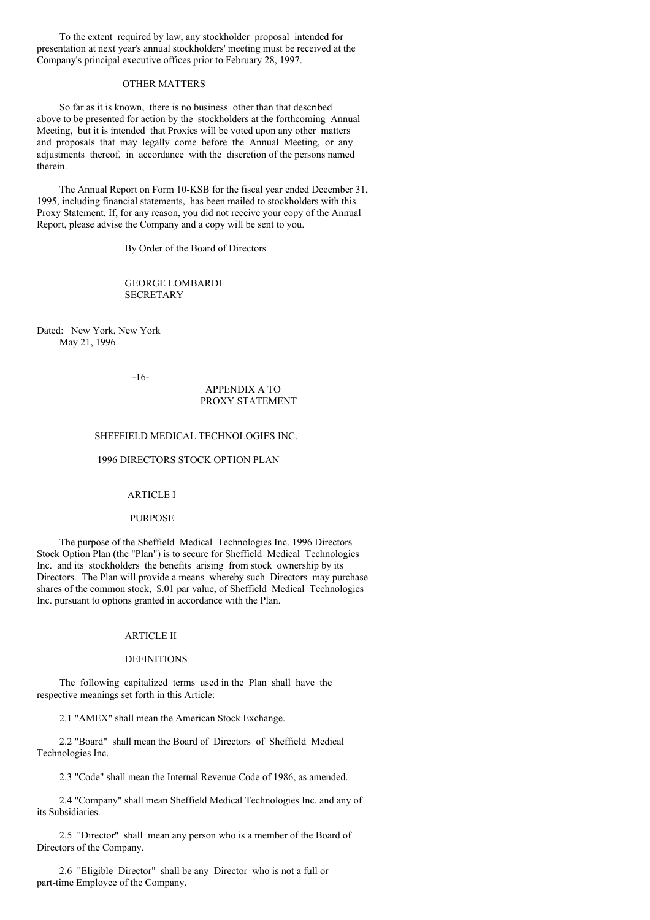To the extent required by law, any stockholder proposal intended for presentation at next year's annual stockholders' meeting must be received at the Company's principal executive offices prior to February 28, 1997.

#### OTHER MATTERS

So far as it is known, there is no business other than that described above to be presented for action by the stockholders at the forthcoming Annual Meeting, but it is intended that Proxies will be voted upon any other matters and proposals that may legally come before the Annual Meeting, or any adjustments thereof, in accordance with the discretion of the persons named therein.

The Annual Report on Form 10-KSB for the fiscal year ended December 31, 1995, including financial statements, has been mailed to stockholders with this Proxy Statement. If, for any reason, you did not receive your copy of the Annual Report, please advise the Company and a copy will be sent to you.

By Order of the Board of Directors

GEORGE LOMBARDI **SECRETARY** 

Dated: New York, New York May 21, 1996

-16-

## APPENDIX A TO PROXY STATEMENT

## SHEFFIELD MEDICAL TECHNOLOGIES INC.

### 1996 DIRECTORS STOCK OPTION PLAN

### ARTICLE I

#### PURPOSE

The purpose of the Sheffield Medical Technologies Inc. 1996 Directors Stock Option Plan (the "Plan") is to secure for Sheffield Medical Technologies Inc. and its stockholders the benefits arising from stock ownership by its Directors. The Plan will provide a means whereby such Directors may purchase shares of the common stock, \$.01 par value, of Sheffield Medical Technologies Inc. pursuant to options granted in accordance with the Plan.

#### ARTICLE II

#### DEFINITIONS

The following capitalized terms used in the Plan shall have the respective meanings set forth in this Article:

2.1 "AMEX" shall mean the American Stock Exchange.

2.2 "Board" shall mean the Board of Directors of Sheffield Medical Technologies Inc.

2.3 "Code" shall mean the Internal Revenue Code of 1986, as amended.

2.4 "Company" shall mean Sheffield Medical Technologies Inc. and any of its Subsidiaries.

2.5 "Director" shall mean any person who is a member of the Board of Directors of the Company.

2.6 "Eligible Director" shall be any Director who is not a full or part-time Employee of the Company.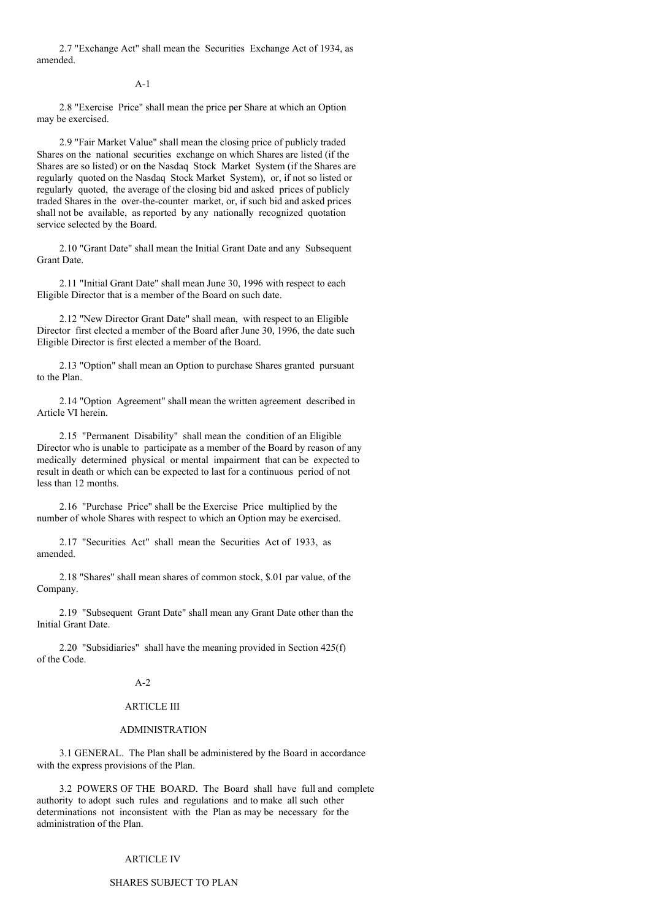2.7 "Exchange Act" shall mean the Securities Exchange Act of 1934, as amended.

#### $\Delta = 1$

2.8 "Exercise Price" shall mean the price per Share at which an Option may be exercised.

2.9 "Fair Market Value" shall mean the closing price of publicly traded Shares on the national securities exchange on which Shares are listed (if the Shares are so listed) or on the Nasdaq Stock Market System (if the Shares are regularly quoted on the Nasdaq Stock Market System), or, if not so listed or regularly quoted, the average of the closing bid and asked prices of publicly traded Shares in the over-the-counter market, or, if such bid and asked prices shall not be available, as reported by any nationally recognized quotation service selected by the Board.

2.10 "Grant Date" shall mean the Initial Grant Date and any Subsequent Grant Date.

2.11 "Initial Grant Date" shall mean June 30, 1996 with respect to each Eligible Director that is a member of the Board on such date.

2.12 "New Director Grant Date" shall mean, with respect to an Eligible Director first elected a member of the Board after June 30, 1996, the date such Eligible Director is first elected a member of the Board.

2.13 "Option" shall mean an Option to purchase Shares granted pursuant to the Plan.

2.14 "Option Agreement" shall mean the written agreement described in Article VI herein.

2.15 "Permanent Disability" shall mean the condition of an Eligible Director who is unable to participate as a member of the Board by reason of any medically determined physical or mental impairment that can be expected to result in death or which can be expected to last for a continuous period of not less than 12 months.

2.16 "Purchase Price" shall be the Exercise Price multiplied by the number of whole Shares with respect to which an Option may be exercised.

2.17 "Securities Act" shall mean the Securities Act of 1933, as amended.

2.18 "Shares" shall mean shares of common stock, \$.01 par value, of the Company.

2.19 "Subsequent Grant Date" shall mean any Grant Date other than the Initial Grant Date.

2.20 "Subsidiaries" shall have the meaning provided in Section 425(f) of the Code.

#### $A-2$

# ARTICLE III

#### ADMINISTRATION

3.1 GENERAL. The Plan shall be administered by the Board in accordance with the express provisions of the Plan.

3.2 POWERS OF THE BOARD. The Board shall have full and complete authority to adopt such rules and regulations and to make all such other determinations not inconsistent with the Plan as may be necessary for the administration of the Plan.

#### ARTICLE IV

#### SHARES SUBJECT TO PLAN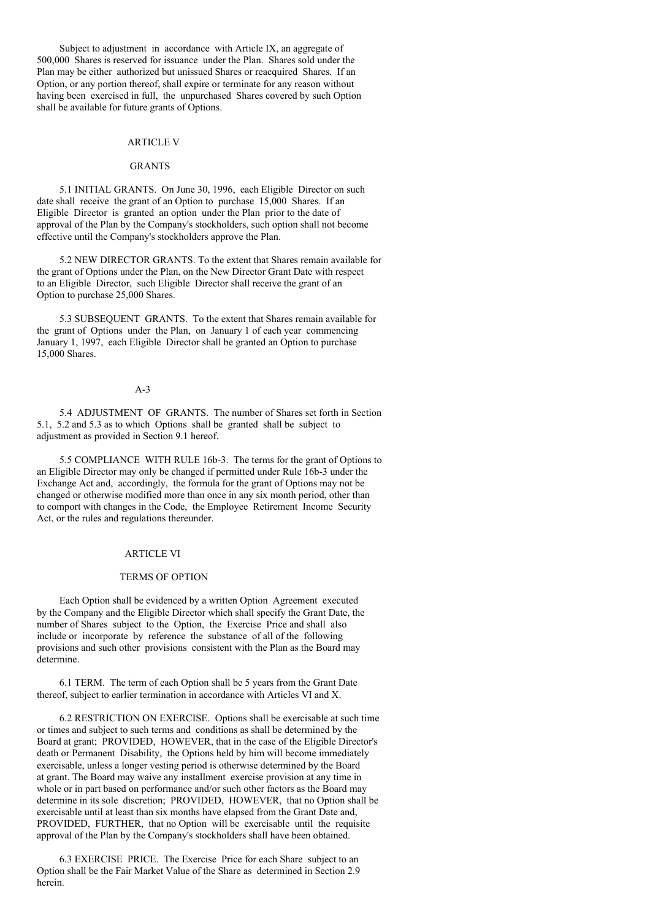Subject to adjustment in accordance with Article IX, an aggregate of 500,000 Shares is reserved for issuance under the Plan. Shares sold under the Plan may be either authorized but unissued Shares or reacquired Shares. If an Option, or any portion thereof, shall expire or terminate for any reason without having been exercised in full, the unpurchased Shares covered by such Option shall be available for future grants of Options.

# ARTICLE V

#### **GRANTS**

5.1 INITIAL GRANTS. On June 30, 1996, each Eligible Director on such date shall receive the grant of an Option to purchase 15,000 Shares. If an Eligible Director is granted an option under the Plan prior to the date of approval of the Plan by the Company's stockholders, such option shall not become effective until the Company's stockholders approve the Plan.

5.2 NEW DIRECTOR GRANTS. To the extent that Shares remain available for the grant of Options under the Plan, on the New Director Grant Date with respect to an Eligible Director, such Eligible Director shall receive the grant of an Option to purchase 25,000 Shares.

5.3 SUBSEQUENT GRANTS. To the extent that Shares remain available for the grant of Options under the Plan, on January 1 of each year commencing January 1, 1997, each Eligible Director shall be granted an Option to purchase 15,000 Shares.

## A-3

5.4 ADJUSTMENT OF GRANTS. The number of Shares set forth in Section 5.1, 5.2 and 5.3 as to which Options shall be granted shall be subject to adjustment as provided in Section 9.1 hereof.

5.5 COMPLIANCE WITH RULE 16b-3. The terms for the grant of Options to an Eligible Director may only be changed if permitted under Rule 16b-3 under the Exchange Act and, accordingly, the formula for the grant of Options may not be changed or otherwise modified more than once in any six month period, other than to comport with changes in the Code, the Employee Retirement Income Security Act, or the rules and regulations thereunder.

#### ARTICLE VI

#### TERMS OF OPTION

Each Option shall be evidenced by a written Option Agreement executed by the Company and the Eligible Director which shall specify the Grant Date, the number of Shares subject to the Option, the Exercise Price and shall also include or incorporate by reference the substance of all of the following provisions and such other provisions consistent with the Plan as the Board may determine.

6.1 TERM. The term of each Option shall be 5 years from the Grant Date thereof, subject to earlier termination in accordance with Articles VI and X.

6.2 RESTRICTION ON EXERCISE. Options shall be exercisable at such time or times and subject to such terms and conditions as shall be determined by the Board at grant; PROVIDED, HOWEVER, that in the case of the Eligible Director's death or Permanent Disability, the Options held by him will become immediately exercisable, unless a longer vesting period is otherwise determined by the Board at grant. The Board may waive any installment exercise provision at any time in whole or in part based on performance and/or such other factors as the Board may determine in its sole discretion; PROVIDED, HOWEVER, that no Option shall be exercisable until at least than six months have elapsed from the Grant Date and, PROVIDED, FURTHER, that no Option will be exercisable until the requisite approval of the Plan by the Company's stockholders shall have been obtained.

6.3 EXERCISE PRICE. The Exercise Price for each Share subject to an Option shall be the Fair Market Value of the Share as determined in Section 2.9 herein.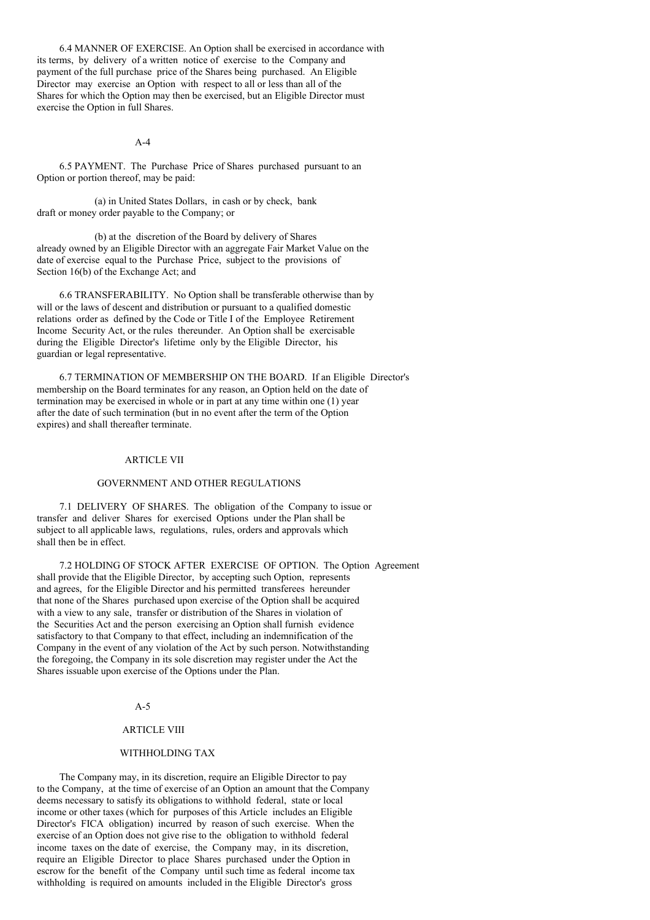6.4 MANNER OF EXERCISE. An Option shall be exercised in accordance with its terms, by delivery of a written notice of exercise to the Company and payment of the full purchase price of the Shares being purchased. An Eligible Director may exercise an Option with respect to all or less than all of the Shares for which the Option may then be exercised, but an Eligible Director must exercise the Option in full Shares.

#### $\Delta - 4$

6.5 PAYMENT. The Purchase Price of Shares purchased pursuant to an Option or portion thereof, may be paid:

(a) in United States Dollars, in cash or by check, bank draft or money order payable to the Company; or

(b) at the discretion of the Board by delivery of Shares already owned by an Eligible Director with an aggregate Fair Market Value on the date of exercise equal to the Purchase Price, subject to the provisions of Section 16(b) of the Exchange Act; and

6.6 TRANSFERABILITY. No Option shall be transferable otherwise than by will or the laws of descent and distribution or pursuant to a qualified domestic relations order as defined by the Code or Title I of the Employee Retirement Income Security Act, or the rules thereunder. An Option shall be exercisable during the Eligible Director's lifetime only by the Eligible Director, his guardian or legal representative.

6.7 TERMINATION OF MEMBERSHIP ON THE BOARD. If an Eligible Director's membership on the Board terminates for any reason, an Option held on the date of termination may be exercised in whole or in part at any time within one (1) year after the date of such termination (but in no event after the term of the Option expires) and shall thereafter terminate.

# ARTICLE VII

## GOVERNMENT AND OTHER REGULATIONS

7.1 DELIVERY OF SHARES. The obligation of the Company to issue or transfer and deliver Shares for exercised Options under the Plan shall be subject to all applicable laws, regulations, rules, orders and approvals which shall then be in effect.

7.2 HOLDING OF STOCK AFTER EXERCISE OF OPTION. The Option Agreement shall provide that the Eligible Director, by accepting such Option, represents and agrees, for the Eligible Director and his permitted transferees hereunder that none of the Shares purchased upon exercise of the Option shall be acquired with a view to any sale, transfer or distribution of the Shares in violation of the Securities Act and the person exercising an Option shall furnish evidence satisfactory to that Company to that effect, including an indemnification of the Company in the event of any violation of the Act by such person. Notwithstanding the foregoing, the Company in its sole discretion may register under the Act the Shares issuable upon exercise of the Options under the Plan.

## A-5

### ARTICLE VIII

### WITHHOLDING TAX

The Company may, in its discretion, require an Eligible Director to pay to the Company, at the time of exercise of an Option an amount that the Company deems necessary to satisfy its obligations to withhold federal, state or local income or other taxes (which for purposes of this Article includes an Eligible Director's FICA obligation) incurred by reason of such exercise. When the exercise of an Option does not give rise to the obligation to withhold federal income taxes on the date of exercise, the Company may, in its discretion, require an Eligible Director to place Shares purchased under the Option in escrow for the benefit of the Company until such time as federal income tax withholding is required on amounts included in the Eligible Director's gross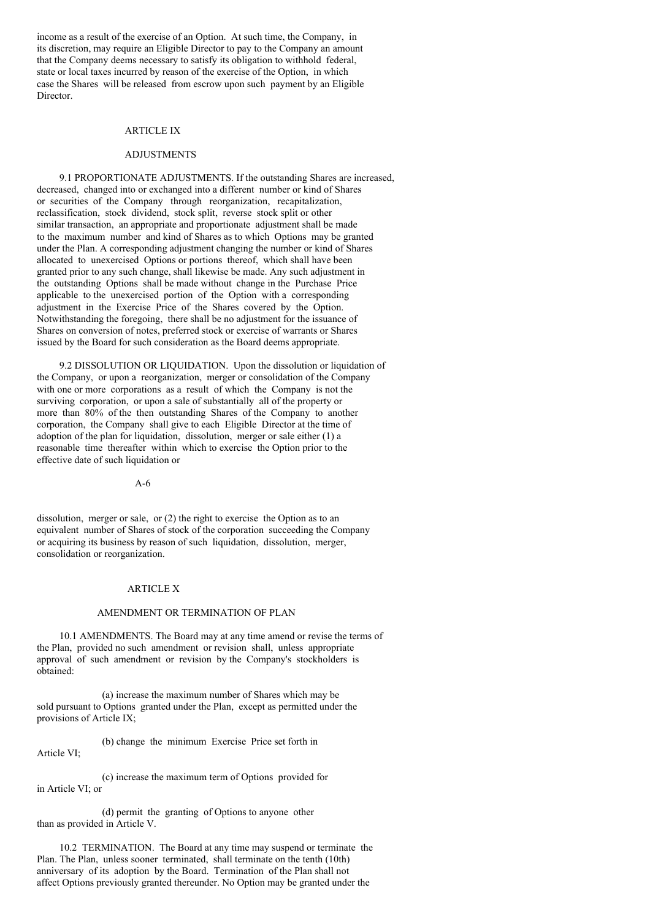income as a result of the exercise of an Option. At such time, the Company, in its discretion, may require an Eligible Director to pay to the Company an amount that the Company deems necessary to satisfy its obligation to withhold federal, state or local taxes incurred by reason of the exercise of the Option, in which case the Shares will be released from escrow upon such payment by an Eligible Director.

### ARTICLE IX

### **ADJUSTMENTS**

9.1 PROPORTIONATE ADJUSTMENTS. If the outstanding Shares are increased, decreased, changed into or exchanged into a different number or kind of Shares or securities of the Company through reorganization, recapitalization, reclassification, stock dividend, stock split, reverse stock split or other similar transaction, an appropriate and proportionate adjustment shall be made to the maximum number and kind of Shares as to which Options may be granted under the Plan. A corresponding adjustment changing the number or kind of Shares allocated to unexercised Options or portions thereof, which shall have been granted prior to any such change, shall likewise be made. Any such adjustment in the outstanding Options shall be made without change in the Purchase Price applicable to the unexercised portion of the Option with a corresponding adjustment in the Exercise Price of the Shares covered by the Option. Notwithstanding the foregoing, there shall be no adjustment for the issuance of Shares on conversion of notes, preferred stock or exercise of warrants or Shares issued by the Board for such consideration as the Board deems appropriate.

9.2 DISSOLUTION OR LIQUIDATION. Upon the dissolution or liquidation of the Company, or upon a reorganization, merger or consolidation of the Company with one or more corporations as a result of which the Company is not the surviving corporation, or upon a sale of substantially all of the property or more than 80% of the then outstanding Shares of the Company to another corporation, the Company shall give to each Eligible Director at the time of adoption of the plan for liquidation, dissolution, merger or sale either (1) a reasonable time thereafter within which to exercise the Option prior to the effective date of such liquidation or

A-6

dissolution, merger or sale, or (2) the right to exercise the Option as to an equivalent number of Shares of stock of the corporation succeeding the Company or acquiring its business by reason of such liquidation, dissolution, merger, consolidation or reorganization.

#### ARTICLE X

#### AMENDMENT OR TERMINATION OF PLAN

10.1 AMENDMENTS. The Board may at any time amend or revise the terms of the Plan, provided no such amendment or revision shall, unless appropriate approval of such amendment or revision by the Company's stockholders is obtained:

(a) increase the maximum number of Shares which may be sold pursuant to Options granted under the Plan, except as permitted under the provisions of Article IX;

(b) change the minimum Exercise Price set forth in Article VI;

(c) increase the maximum term of Options provided for in Article VI; or

(d) permit the granting of Options to anyone other than as provided in Article V.

10.2 TERMINATION. The Board at any time may suspend or terminate the Plan. The Plan, unless sooner terminated, shall terminate on the tenth (10th) anniversary of its adoption by the Board. Termination of the Plan shall not affect Options previously granted thereunder. No Option may be granted under the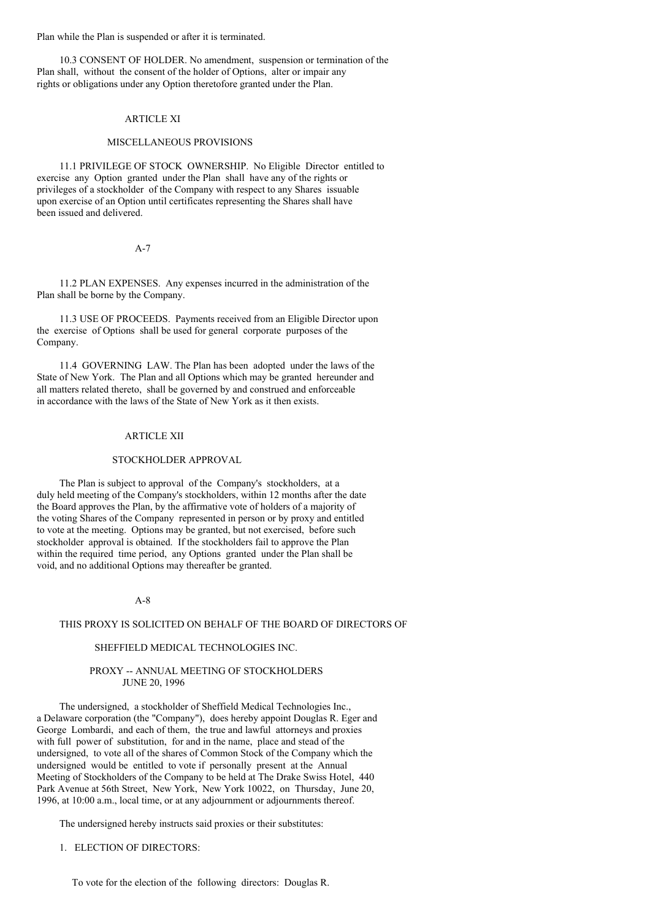Plan while the Plan is suspended or after it is terminated.

10.3 CONSENT OF HOLDER. No amendment, suspension or termination of the Plan shall, without the consent of the holder of Options, alter or impair any rights or obligations under any Option theretofore granted under the Plan.

## ARTICLE XI

### MISCELLANEOUS PROVISIONS

11.1 PRIVILEGE OF STOCK OWNERSHIP. No Eligible Director entitled to exercise any Option granted under the Plan shall have any of the rights or privileges of a stockholder of the Company with respect to any Shares issuable upon exercise of an Option until certificates representing the Shares shall have been issued and delivered.

### A-7

11.2 PLAN EXPENSES. Any expenses incurred in the administration of the Plan shall be borne by the Company.

11.3 USE OF PROCEEDS. Payments received from an Eligible Director upon the exercise of Options shall be used for general corporate purposes of the Company.

11.4 GOVERNING LAW. The Plan has been adopted under the laws of the State of New York. The Plan and all Options which may be granted hereunder and all matters related thereto, shall be governed by and construed and enforceable in accordance with the laws of the State of New York as it then exists.

## ARTICLE XII

## STOCKHOLDER APPROVAL

The Plan is subject to approval of the Company's stockholders, at a duly held meeting of the Company's stockholders, within 12 months after the date the Board approves the Plan, by the affirmative vote of holders of a majority of the voting Shares of the Company represented in person or by proxy and entitled to vote at the meeting. Options may be granted, but not exercised, before such stockholder approval is obtained. If the stockholders fail to approve the Plan within the required time period, any Options granted under the Plan shall be void, and no additional Options may thereafter be granted.

#### A-8

#### THIS PROXY IS SOLICITED ON BEHALF OF THE BOARD OF DIRECTORS OF

#### SHEFFIELD MEDICAL TECHNOLOGIES INC.

## PROXY -- ANNUAL MEETING OF STOCKHOLDERS JUNE 20, 1996

The undersigned, a stockholder of Sheffield Medical Technologies Inc., a Delaware corporation (the "Company"), does hereby appoint Douglas R. Eger and George Lombardi, and each of them, the true and lawful attorneys and proxies with full power of substitution, for and in the name, place and stead of the undersigned, to vote all of the shares of Common Stock of the Company which the undersigned would be entitled to vote if personally present at the Annual Meeting of Stockholders of the Company to be held at The Drake Swiss Hotel, 440 Park Avenue at 56th Street, New York, New York 10022, on Thursday, June 20, 1996, at 10:00 a.m., local time, or at any adjournment or adjournments thereof.

The undersigned hereby instructs said proxies or their substitutes:

## 1. ELECTION OF DIRECTORS: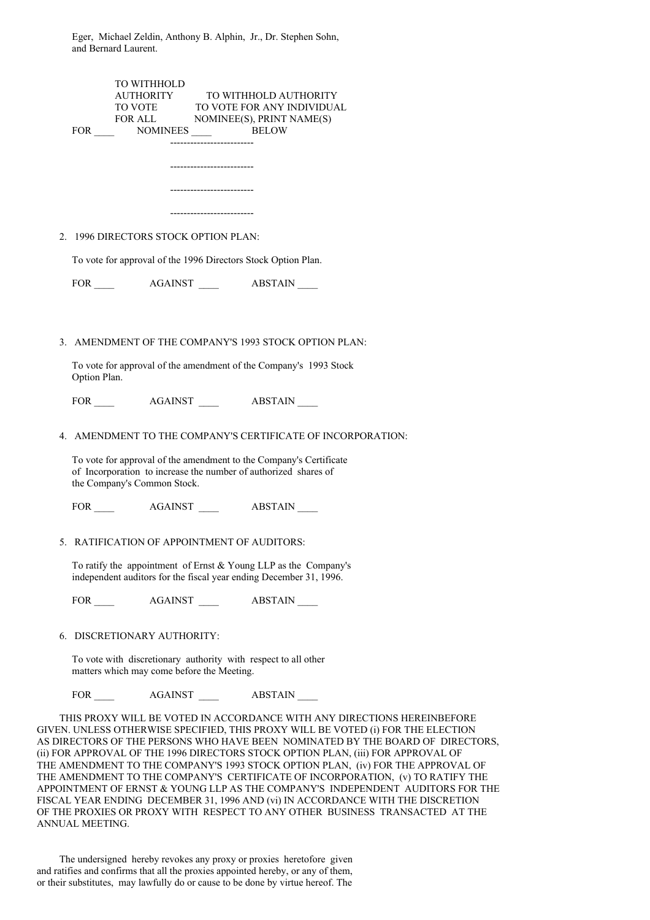Eger, Michael Zeldin, Anthony B. Alphin, Jr., Dr. Stephen Sohn, and Bernard Laurent.

| TO WITHHOLD<br>$\begin{tabular}{ll} AUTHORITY \hspace{1.5cm} TO WITHHOLD AUTHORITY \hspace{1.5cm} TO VOTE \hspace{1.5cm} TO VOTE FOR ANY INDIVIDUAL \hspace{1.5cm} FOR ALL \hspace{1.5cm} NOMINEES), PRINT NAME(S) \end{tabular}$<br>------------------------- |
|----------------------------------------------------------------------------------------------------------------------------------------------------------------------------------------------------------------------------------------------------------------|
| -----------------------                                                                                                                                                                                                                                        |
|                                                                                                                                                                                                                                                                |
| --------------------------                                                                                                                                                                                                                                     |
| --------------------------                                                                                                                                                                                                                                     |
| 2. 1996 DIRECTORS STOCK OPTION PLAN:                                                                                                                                                                                                                           |
| To vote for approval of the 1996 Directors Stock Option Plan.                                                                                                                                                                                                  |
|                                                                                                                                                                                                                                                                |
|                                                                                                                                                                                                                                                                |
| 3. AMENDMENT OF THE COMPANY'S 1993 STOCK OPTION PLAN:                                                                                                                                                                                                          |
| To vote for approval of the amendment of the Company's 1993 Stock<br>Option Plan.                                                                                                                                                                              |
|                                                                                                                                                                                                                                                                |
| 4. AMENDMENT TO THE COMPANY'S CERTIFICATE OF INCORPORATION:                                                                                                                                                                                                    |
| To vote for approval of the amendment to the Company's Certificate<br>of Incorporation to increase the number of authorized shares of<br>the Company's Common Stock.                                                                                           |
|                                                                                                                                                                                                                                                                |
| 5. RATIFICATION OF APPOINTMENT OF AUDITORS:                                                                                                                                                                                                                    |
| To ratify the appointment of Ernst $&$ Young LLP as the Company's<br>independent auditors for the fiscal year ending December 31, 1996.                                                                                                                        |
|                                                                                                                                                                                                                                                                |
| 6. DISCRETIONARY AUTHORITY:                                                                                                                                                                                                                                    |
| To vote with discretionary authority with respect to all other<br>matters which may come before the Meeting.                                                                                                                                                   |
|                                                                                                                                                                                                                                                                |
| THIS PROXY WILL BE VOTED IN ACCORDANCE WITH ANY DIRECTIONS HEREINBEFORE<br>$\overline{C}$ inities otherwise specieued, this provy will be voted $\overline{C}$ for the election                                                                                |

GIVEN. UNLESS OTHERWISE SPECIFIED, THIS PROXY WILL BE VOTED (i) FOR THE ELECTION AS DIRECTORS OF THE PERSONS WHO HAVE BEEN NOMINATED BY THE BOARD OF DIRECTORS, (ii) FOR APPROVAL OF THE 1996 DIRECTORS STOCK OPTION PLAN, (iii) FOR APPROVAL OF THE AMENDMENT TO THE COMPANY'S 1993 STOCK OPTION PLAN, (iv) FOR THE APPROVAL OF THE AMENDMENT TO THE COMPANY'S CERTIFICATE OF INCORPORATION, (v) TO RATIFY THE APPOINTMENT OF ERNST & YOUNG LLP AS THE COMPANY'S INDEPENDENT AUDITORS FOR THE FISCAL YEAR ENDING DECEMBER 31, 1996 AND (vi) IN ACCORDANCE WITH THE DISCRETION OF THE PROXIES OR PROXY WITH RESPECT TO ANY OTHER BUSINESS TRANSACTED AT THE ANNUAL MEETING.

The undersigned hereby revokes any proxy or proxies heretofore given and ratifies and confirms that all the proxies appointed hereby, or any of them, or their substitutes, may lawfully do or cause to be done by virtue hereof. The